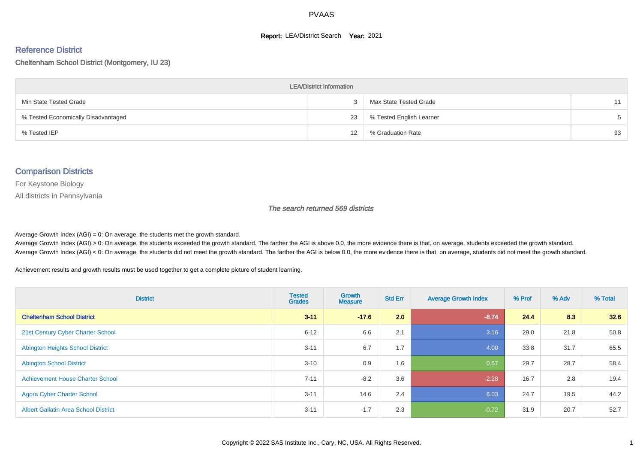#### **Report: LEA/District Search Year: 2021**

#### Reference District

Cheltenham School District (Montgomery, IU 23)

| <b>LEA/District Information</b>     |    |                          |       |  |  |  |  |  |  |
|-------------------------------------|----|--------------------------|-------|--|--|--|--|--|--|
| Min State Tested Grade              |    | Max State Tested Grade   | 11    |  |  |  |  |  |  |
| % Tested Economically Disadvantaged | 23 | % Tested English Learner | $5 -$ |  |  |  |  |  |  |
| % Tested IEP                        | 12 | % Graduation Rate        | 93    |  |  |  |  |  |  |

#### Comparison Districts

For Keystone Biology

All districts in Pennsylvania

The search returned 569 districts

Average Growth Index  $(AGI) = 0$ : On average, the students met the growth standard.

Average Growth Index (AGI) > 0: On average, the students exceeded the growth standard. The farther the AGI is above 0.0, the more evidence there is that, on average, students exceeded the growth standard. Average Growth Index (AGI) < 0: On average, the students did not meet the growth standard. The farther the AGI is below 0.0, the more evidence there is that, on average, students did not meet the growth standard.

Achievement results and growth results must be used together to get a complete picture of student learning.

| <b>District</b>                             | <b>Tested</b><br><b>Grades</b> | <b>Growth</b><br><b>Measure</b> | <b>Std Err</b> | <b>Average Growth Index</b> | % Prof | % Adv | % Total |
|---------------------------------------------|--------------------------------|---------------------------------|----------------|-----------------------------|--------|-------|---------|
| <b>Cheltenham School District</b>           | $3 - 11$                       | $-17.6$                         | 2.0            | $-8.74$                     | 24.4   | 8.3   | 32.6    |
| 21st Century Cyber Charter School           | $6 - 12$                       | 6.6                             | 2.1            | 3.16                        | 29.0   | 21.8  | 50.8    |
| <b>Abington Heights School District</b>     | $3 - 11$                       | 6.7                             | 1.7            | 4.00                        | 33.8   | 31.7  | 65.5    |
| <b>Abington School District</b>             | $3 - 10$                       | 0.9                             | 1.6            | 0.57                        | 29.7   | 28.7  | 58.4    |
| <b>Achievement House Charter School</b>     | $7 - 11$                       | $-8.2$                          | 3.6            | $-2.28$                     | 16.7   | 2.8   | 19.4    |
| <b>Agora Cyber Charter School</b>           | $3 - 11$                       | 14.6                            | 2.4            | 6.03                        | 24.7   | 19.5  | 44.2    |
| <b>Albert Gallatin Area School District</b> | $3 - 11$                       | $-1.7$                          | 2.3            | $-0.72$                     | 31.9   | 20.7  | 52.7    |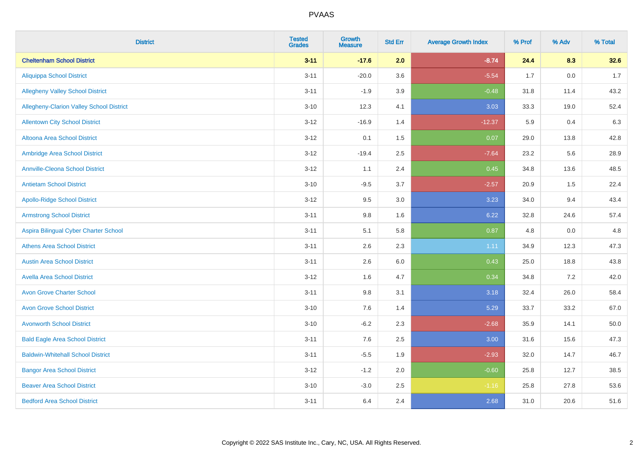| <b>District</b>                          | <b>Tested</b><br><b>Grades</b> | <b>Growth</b><br><b>Measure</b> | <b>Std Err</b> | <b>Average Growth Index</b> | % Prof | % Adv | % Total |
|------------------------------------------|--------------------------------|---------------------------------|----------------|-----------------------------|--------|-------|---------|
| <b>Cheltenham School District</b>        | $3 - 11$                       | $-17.6$                         | 2.0            | $-8.74$                     | 24.4   | 8.3   | 32.6    |
| <b>Aliquippa School District</b>         | $3 - 11$                       | $-20.0$                         | 3.6            | $-5.54$                     | 1.7    | 0.0   | 1.7     |
| <b>Allegheny Valley School District</b>  | $3 - 11$                       | $-1.9$                          | 3.9            | $-0.48$                     | 31.8   | 11.4  | 43.2    |
| Allegheny-Clarion Valley School District | $3 - 10$                       | 12.3                            | 4.1            | 3.03                        | 33.3   | 19.0  | 52.4    |
| <b>Allentown City School District</b>    | $3 - 12$                       | $-16.9$                         | 1.4            | $-12.37$                    | 5.9    | 0.4   | 6.3     |
| <b>Altoona Area School District</b>      | $3 - 12$                       | 0.1                             | 1.5            | 0.07                        | 29.0   | 13.8  | 42.8    |
| Ambridge Area School District            | $3 - 12$                       | $-19.4$                         | 2.5            | $-7.64$                     | 23.2   | 5.6   | 28.9    |
| <b>Annville-Cleona School District</b>   | $3 - 12$                       | 1.1                             | 2.4            | 0.45                        | 34.8   | 13.6  | 48.5    |
| <b>Antietam School District</b>          | $3 - 10$                       | $-9.5$                          | 3.7            | $-2.57$                     | 20.9   | 1.5   | 22.4    |
| <b>Apollo-Ridge School District</b>      | $3 - 12$                       | 9.5                             | 3.0            | 3.23                        | 34.0   | 9.4   | 43.4    |
| <b>Armstrong School District</b>         | $3 - 11$                       | 9.8                             | 1.6            | 6.22                        | 32.8   | 24.6  | 57.4    |
| Aspira Bilingual Cyber Charter School    | $3 - 11$                       | 5.1                             | 5.8            | 0.87                        | 4.8    | 0.0   | 4.8     |
| <b>Athens Area School District</b>       | $3 - 11$                       | 2.6                             | 2.3            | 1.11                        | 34.9   | 12.3  | 47.3    |
| <b>Austin Area School District</b>       | $3 - 11$                       | 2.6                             | 6.0            | 0.43                        | 25.0   | 18.8  | 43.8    |
| <b>Avella Area School District</b>       | $3 - 12$                       | 1.6                             | 4.7            | 0.34                        | 34.8   | 7.2   | 42.0    |
| <b>Avon Grove Charter School</b>         | $3 - 11$                       | 9.8                             | 3.1            | 3.18                        | 32.4   | 26.0  | 58.4    |
| <b>Avon Grove School District</b>        | $3 - 10$                       | 7.6                             | 1.4            | 5.29                        | 33.7   | 33.2  | 67.0    |
| <b>Avonworth School District</b>         | $3 - 10$                       | $-6.2$                          | 2.3            | $-2.68$                     | 35.9   | 14.1  | 50.0    |
| <b>Bald Eagle Area School District</b>   | $3 - 11$                       | 7.6                             | 2.5            | 3.00                        | 31.6   | 15.6  | 47.3    |
| <b>Baldwin-Whitehall School District</b> | $3 - 11$                       | $-5.5$                          | 1.9            | $-2.93$                     | 32.0   | 14.7  | 46.7    |
| <b>Bangor Area School District</b>       | $3 - 12$                       | $-1.2$                          | 2.0            | $-0.60$                     | 25.8   | 12.7  | 38.5    |
| <b>Beaver Area School District</b>       | $3 - 10$                       | $-3.0$                          | 2.5            | $-1.16$                     | 25.8   | 27.8  | 53.6    |
| <b>Bedford Area School District</b>      | $3 - 11$                       | 6.4                             | 2.4            | 2.68                        | 31.0   | 20.6  | 51.6    |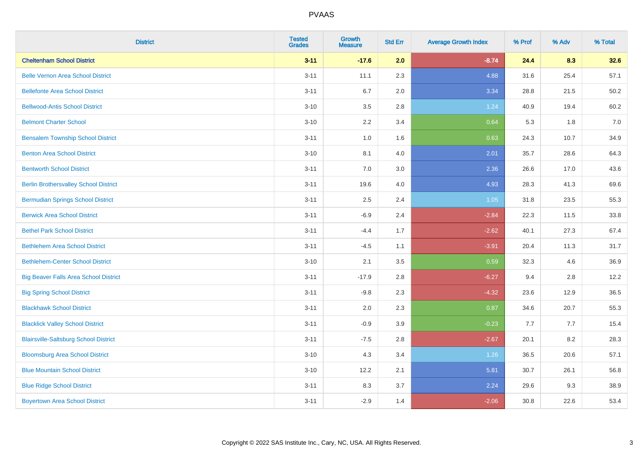| <b>District</b>                              | <b>Tested</b><br><b>Grades</b> | <b>Growth</b><br><b>Measure</b> | <b>Std Err</b> | <b>Average Growth Index</b> | % Prof | % Adv | % Total |
|----------------------------------------------|--------------------------------|---------------------------------|----------------|-----------------------------|--------|-------|---------|
| <b>Cheltenham School District</b>            | $3 - 11$                       | $-17.6$                         | 2.0            | $-8.74$                     | 24.4   | 8.3   | 32.6    |
| <b>Belle Vernon Area School District</b>     | $3 - 11$                       | 11.1                            | 2.3            | 4.88                        | 31.6   | 25.4  | 57.1    |
| <b>Bellefonte Area School District</b>       | $3 - 11$                       | 6.7                             | 2.0            | 3.34                        | 28.8   | 21.5  | 50.2    |
| <b>Bellwood-Antis School District</b>        | $3 - 10$                       | $3.5\,$                         | 2.8            | 1.24                        | 40.9   | 19.4  | 60.2    |
| <b>Belmont Charter School</b>                | $3 - 10$                       | 2.2                             | 3.4            | 0.64                        | 5.3    | 1.8   | 7.0     |
| <b>Bensalem Township School District</b>     | $3 - 11$                       | 1.0                             | 1.6            | 0.63                        | 24.3   | 10.7  | 34.9    |
| <b>Benton Area School District</b>           | $3 - 10$                       | 8.1                             | 4.0            | 2.01                        | 35.7   | 28.6  | 64.3    |
| <b>Bentworth School District</b>             | $3 - 11$                       | 7.0                             | 3.0            | 2.36                        | 26.6   | 17.0  | 43.6    |
| <b>Berlin Brothersvalley School District</b> | $3 - 11$                       | 19.6                            | 4.0            | 4.93                        | 28.3   | 41.3  | 69.6    |
| <b>Bermudian Springs School District</b>     | $3 - 11$                       | $2.5\,$                         | 2.4            | 1.05                        | 31.8   | 23.5  | 55.3    |
| <b>Berwick Area School District</b>          | $3 - 11$                       | $-6.9$                          | 2.4            | $-2.84$                     | 22.3   | 11.5  | 33.8    |
| <b>Bethel Park School District</b>           | $3 - 11$                       | $-4.4$                          | 1.7            | $-2.62$                     | 40.1   | 27.3  | 67.4    |
| <b>Bethlehem Area School District</b>        | $3 - 11$                       | $-4.5$                          | 1.1            | $-3.91$                     | 20.4   | 11.3  | 31.7    |
| <b>Bethlehem-Center School District</b>      | $3 - 10$                       | 2.1                             | 3.5            | 0.59                        | 32.3   | 4.6   | 36.9    |
| <b>Big Beaver Falls Area School District</b> | $3 - 11$                       | $-17.9$                         | 2.8            | $-6.27$                     | 9.4    | 2.8   | 12.2    |
| <b>Big Spring School District</b>            | $3 - 11$                       | $-9.8$                          | 2.3            | $-4.32$                     | 23.6   | 12.9  | 36.5    |
| <b>Blackhawk School District</b>             | $3 - 11$                       | 2.0                             | 2.3            | 0.87                        | 34.6   | 20.7  | 55.3    |
| <b>Blacklick Valley School District</b>      | $3 - 11$                       | $-0.9$                          | 3.9            | $-0.23$                     | 7.7    | 7.7   | 15.4    |
| <b>Blairsville-Saltsburg School District</b> | $3 - 11$                       | $-7.5$                          | 2.8            | $-2.67$                     | 20.1   | 8.2   | 28.3    |
| <b>Bloomsburg Area School District</b>       | $3 - 10$                       | 4.3                             | 3.4            | 1.26                        | 36.5   | 20.6  | 57.1    |
| <b>Blue Mountain School District</b>         | $3 - 10$                       | 12.2                            | 2.1            | 5.81                        | 30.7   | 26.1  | 56.8    |
| <b>Blue Ridge School District</b>            | $3 - 11$                       | 8.3                             | 3.7            | 2.24                        | 29.6   | 9.3   | 38.9    |
| <b>Boyertown Area School District</b>        | $3 - 11$                       | $-2.9$                          | 1.4            | $-2.06$                     | 30.8   | 22.6  | 53.4    |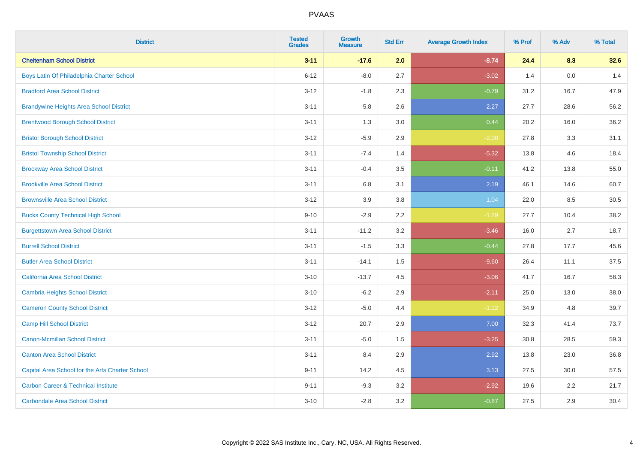| <b>District</b>                                 | <b>Tested</b><br><b>Grades</b> | <b>Growth</b><br><b>Measure</b> | <b>Std Err</b> | <b>Average Growth Index</b> | % Prof | % Adv   | % Total |
|-------------------------------------------------|--------------------------------|---------------------------------|----------------|-----------------------------|--------|---------|---------|
| <b>Cheltenham School District</b>               | $3 - 11$                       | $-17.6$                         | 2.0            | $-8.74$                     | 24.4   | 8.3     | 32.6    |
| Boys Latin Of Philadelphia Charter School       | $6 - 12$                       | $-8.0$                          | 2.7            | $-3.02$                     | 1.4    | $0.0\,$ | 1.4     |
| <b>Bradford Area School District</b>            | $3 - 12$                       | $-1.8$                          | 2.3            | $-0.79$                     | 31.2   | 16.7    | 47.9    |
| <b>Brandywine Heights Area School District</b>  | $3 - 11$                       | 5.8                             | 2.6            | 2.27                        | 27.7   | 28.6    | 56.2    |
| <b>Brentwood Borough School District</b>        | $3 - 11$                       | 1.3                             | 3.0            | 0.44                        | 20.2   | 16.0    | 36.2    |
| <b>Bristol Borough School District</b>          | $3 - 12$                       | $-5.9$                          | 2.9            | $-2.00$                     | 27.8   | 3.3     | 31.1    |
| <b>Bristol Township School District</b>         | $3 - 11$                       | $-7.4$                          | 1.4            | $-5.32$                     | 13.8   | 4.6     | 18.4    |
| <b>Brockway Area School District</b>            | $3 - 11$                       | $-0.4$                          | 3.5            | $-0.11$                     | 41.2   | 13.8    | 55.0    |
| <b>Brookville Area School District</b>          | $3 - 11$                       | 6.8                             | 3.1            | 2.19                        | 46.1   | 14.6    | 60.7    |
| <b>Brownsville Area School District</b>         | $3 - 12$                       | 3.9                             | 3.8            | 1.04                        | 22.0   | 8.5     | 30.5    |
| <b>Bucks County Technical High School</b>       | $9 - 10$                       | $-2.9$                          | 2.2            | $-1.29$                     | 27.7   | 10.4    | 38.2    |
| <b>Burgettstown Area School District</b>        | $3 - 11$                       | $-11.2$                         | 3.2            | $-3.46$                     | 16.0   | 2.7     | 18.7    |
| <b>Burrell School District</b>                  | $3 - 11$                       | $-1.5$                          | 3.3            | $-0.44$                     | 27.8   | 17.7    | 45.6    |
| <b>Butler Area School District</b>              | $3 - 11$                       | $-14.1$                         | $1.5\,$        | $-9.60$                     | 26.4   | 11.1    | 37.5    |
| California Area School District                 | $3 - 10$                       | $-13.7$                         | 4.5            | $-3.06$                     | 41.7   | 16.7    | 58.3    |
| <b>Cambria Heights School District</b>          | $3 - 10$                       | $-6.2$                          | 2.9            | $-2.11$                     | 25.0   | 13.0    | 38.0    |
| <b>Cameron County School District</b>           | $3 - 12$                       | $-5.0$                          | 4.4            | $-1.12$                     | 34.9   | 4.8     | 39.7    |
| <b>Camp Hill School District</b>                | $3 - 12$                       | 20.7                            | 2.9            | 7.00                        | 32.3   | 41.4    | 73.7    |
| <b>Canon-Mcmillan School District</b>           | $3 - 11$                       | $-5.0$                          | $1.5\,$        | $-3.25$                     | 30.8   | 28.5    | 59.3    |
| <b>Canton Area School District</b>              | $3 - 11$                       | 8.4                             | 2.9            | 2.92                        | 13.8   | 23.0    | 36.8    |
| Capital Area School for the Arts Charter School | $9 - 11$                       | 14.2                            | 4.5            | 3.13                        | 27.5   | 30.0    | 57.5    |
| <b>Carbon Career &amp; Technical Institute</b>  | $9 - 11$                       | $-9.3$                          | 3.2            | $-2.92$                     | 19.6   | 2.2     | 21.7    |
| <b>Carbondale Area School District</b>          | $3 - 10$                       | $-2.8$                          | 3.2            | $-0.87$                     | 27.5   | 2.9     | 30.4    |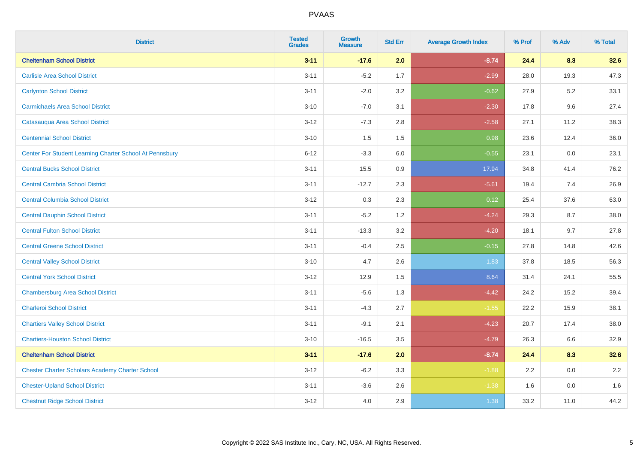| <b>District</b>                                         | <b>Tested</b><br><b>Grades</b> | <b>Growth</b><br><b>Measure</b> | <b>Std Err</b> | <b>Average Growth Index</b> | % Prof | % Adv   | % Total |
|---------------------------------------------------------|--------------------------------|---------------------------------|----------------|-----------------------------|--------|---------|---------|
| <b>Cheltenham School District</b>                       | $3 - 11$                       | $-17.6$                         | 2.0            | $-8.74$                     | 24.4   | 8.3     | 32.6    |
| <b>Carlisle Area School District</b>                    | $3 - 11$                       | $-5.2$                          | 1.7            | $-2.99$                     | 28.0   | 19.3    | 47.3    |
| <b>Carlynton School District</b>                        | $3 - 11$                       | $-2.0$                          | 3.2            | $-0.62$                     | 27.9   | $5.2\,$ | 33.1    |
| <b>Carmichaels Area School District</b>                 | $3 - 10$                       | $-7.0$                          | 3.1            | $-2.30$                     | 17.8   | 9.6     | 27.4    |
| Catasauqua Area School District                         | $3 - 12$                       | $-7.3$                          | 2.8            | $-2.58$                     | 27.1   | 11.2    | 38.3    |
| <b>Centennial School District</b>                       | $3 - 10$                       | 1.5                             | 1.5            | 0.98                        | 23.6   | 12.4    | 36.0    |
| Center For Student Learning Charter School At Pennsbury | $6 - 12$                       | $-3.3$                          | 6.0            | $-0.55$                     | 23.1   | $0.0\,$ | 23.1    |
| <b>Central Bucks School District</b>                    | $3 - 11$                       | 15.5                            | 0.9            | 17.94                       | 34.8   | 41.4    | 76.2    |
| <b>Central Cambria School District</b>                  | $3 - 11$                       | $-12.7$                         | 2.3            | $-5.61$                     | 19.4   | 7.4     | 26.9    |
| <b>Central Columbia School District</b>                 | $3 - 12$                       | 0.3                             | $2.3\,$        | 0.12                        | 25.4   | 37.6    | 63.0    |
| <b>Central Dauphin School District</b>                  | $3 - 11$                       | $-5.2$                          | 1.2            | $-4.24$                     | 29.3   | 8.7     | 38.0    |
| <b>Central Fulton School District</b>                   | $3 - 11$                       | $-13.3$                         | 3.2            | $-4.20$                     | 18.1   | 9.7     | 27.8    |
| <b>Central Greene School District</b>                   | $3 - 11$                       | $-0.4$                          | 2.5            | $-0.15$                     | 27.8   | 14.8    | 42.6    |
| <b>Central Valley School District</b>                   | $3 - 10$                       | 4.7                             | 2.6            | 1.83                        | 37.8   | 18.5    | 56.3    |
| <b>Central York School District</b>                     | $3 - 12$                       | 12.9                            | 1.5            | 8.64                        | 31.4   | 24.1    | 55.5    |
| <b>Chambersburg Area School District</b>                | $3 - 11$                       | $-5.6$                          | 1.3            | $-4.42$                     | 24.2   | 15.2    | 39.4    |
| <b>Charleroi School District</b>                        | $3 - 11$                       | $-4.3$                          | 2.7            | $-1.55$                     | 22.2   | 15.9    | 38.1    |
| <b>Chartiers Valley School District</b>                 | $3 - 11$                       | $-9.1$                          | 2.1            | $-4.23$                     | 20.7   | 17.4    | 38.0    |
| <b>Chartiers-Houston School District</b>                | $3 - 10$                       | $-16.5$                         | 3.5            | $-4.79$                     | 26.3   | 6.6     | 32.9    |
| <b>Cheltenham School District</b>                       | $3 - 11$                       | $-17.6$                         | 2.0            | $-8.74$                     | 24.4   | 8.3     | 32.6    |
| <b>Chester Charter Scholars Academy Charter School</b>  | $3 - 12$                       | $-6.2$                          | 3.3            | $-1.88$                     | 2.2    | 0.0     | $2.2\,$ |
| <b>Chester-Upland School District</b>                   | $3 - 11$                       | $-3.6$                          | 2.6            | $-1.38$                     | 1.6    | 0.0     | 1.6     |
| <b>Chestnut Ridge School District</b>                   | $3 - 12$                       | 4.0                             | 2.9            | 1.38                        | 33.2   | 11.0    | 44.2    |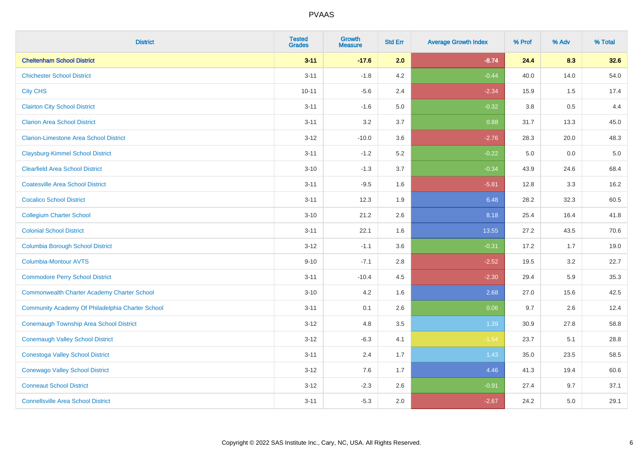| <b>District</b>                                    | <b>Tested</b><br><b>Grades</b> | Growth<br><b>Measure</b> | <b>Std Err</b> | <b>Average Growth Index</b> | % Prof  | % Adv | % Total |
|----------------------------------------------------|--------------------------------|--------------------------|----------------|-----------------------------|---------|-------|---------|
| <b>Cheltenham School District</b>                  | $3 - 11$                       | $-17.6$                  | 2.0            | $-8.74$                     | 24.4    | 8.3   | 32.6    |
| <b>Chichester School District</b>                  | $3 - 11$                       | $-1.8$                   | 4.2            | $-0.44$                     | 40.0    | 14.0  | 54.0    |
| <b>City CHS</b>                                    | $10 - 11$                      | $-5.6$                   | 2.4            | $-2.34$                     | 15.9    | 1.5   | 17.4    |
| <b>Clairton City School District</b>               | $3 - 11$                       | $-1.6$                   | 5.0            | $-0.32$                     | $3.8\,$ | 0.5   | 4.4     |
| <b>Clarion Area School District</b>                | $3 - 11$                       | 3.2                      | 3.7            | 0.88                        | 31.7    | 13.3  | 45.0    |
| <b>Clarion-Limestone Area School District</b>      | $3 - 12$                       | $-10.0$                  | 3.6            | $-2.76$                     | 28.3    | 20.0  | 48.3    |
| <b>Claysburg-Kimmel School District</b>            | $3 - 11$                       | $-1.2$                   | 5.2            | $-0.22$                     | 5.0     | 0.0   | $5.0$   |
| <b>Clearfield Area School District</b>             | $3 - 10$                       | $-1.3$                   | 3.7            | $-0.34$                     | 43.9    | 24.6  | 68.4    |
| <b>Coatesville Area School District</b>            | $3 - 11$                       | $-9.5$                   | 1.6            | $-5.81$                     | 12.8    | 3.3   | 16.2    |
| <b>Cocalico School District</b>                    | $3 - 11$                       | 12.3                     | 1.9            | 6.48                        | 28.2    | 32.3  | 60.5    |
| <b>Collegium Charter School</b>                    | $3 - 10$                       | 21.2                     | 2.6            | 8.18                        | 25.4    | 16.4  | 41.8    |
| <b>Colonial School District</b>                    | $3 - 11$                       | 22.1                     | 1.6            | 13.55                       | 27.2    | 43.5  | 70.6    |
| <b>Columbia Borough School District</b>            | $3 - 12$                       | $-1.1$                   | 3.6            | $-0.31$                     | 17.2    | 1.7   | 19.0    |
| Columbia-Montour AVTS                              | $9 - 10$                       | $-7.1$                   | 2.8            | $-2.52$                     | 19.5    | 3.2   | 22.7    |
| <b>Commodore Perry School District</b>             | $3 - 11$                       | $-10.4$                  | 4.5            | $-2.30$                     | 29.4    | 5.9   | 35.3    |
| <b>Commonwealth Charter Academy Charter School</b> | $3 - 10$                       | 4.2                      | 1.6            | 2.68                        | 27.0    | 15.6  | 42.5    |
| Community Academy Of Philadelphia Charter School   | $3 - 11$                       | 0.1                      | 2.6            | 0.06                        | 9.7     | 2.6   | 12.4    |
| Conemaugh Township Area School District            | $3 - 12$                       | 4.8                      | 3.5            | 1.39                        | 30.9    | 27.8  | 58.8    |
| <b>Conemaugh Valley School District</b>            | $3 - 12$                       | $-6.3$                   | 4.1            | $-1.54$                     | 23.7    | 5.1   | 28.8    |
| <b>Conestoga Valley School District</b>            | $3 - 11$                       | 2.4                      | 1.7            | 1.43                        | 35.0    | 23.5  | 58.5    |
| <b>Conewago Valley School District</b>             | $3 - 12$                       | 7.6                      | 1.7            | 4.46                        | 41.3    | 19.4  | 60.6    |
| <b>Conneaut School District</b>                    | $3 - 12$                       | $-2.3$                   | 2.6            | $-0.91$                     | 27.4    | 9.7   | 37.1    |
| <b>Connellsville Area School District</b>          | $3 - 11$                       | $-5.3$                   | 2.0            | $-2.67$                     | 24.2    | 5.0   | 29.1    |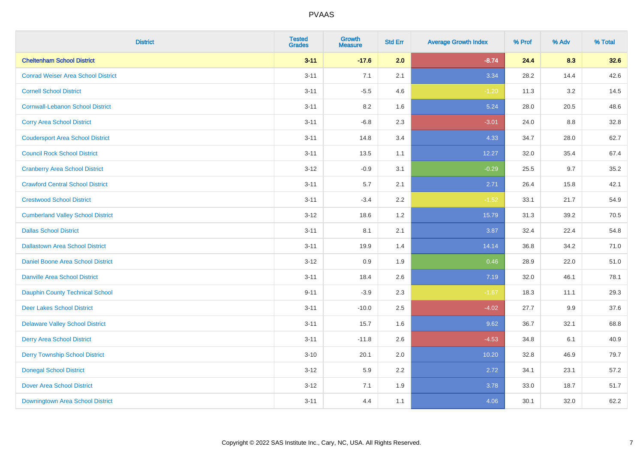| <b>District</b>                           | <b>Tested</b><br><b>Grades</b> | Growth<br><b>Measure</b> | <b>Std Err</b> | <b>Average Growth Index</b> | % Prof | % Adv | % Total |
|-------------------------------------------|--------------------------------|--------------------------|----------------|-----------------------------|--------|-------|---------|
| <b>Cheltenham School District</b>         | $3 - 11$                       | $-17.6$                  | 2.0            | $-8.74$                     | 24.4   | 8.3   | 32.6    |
| <b>Conrad Weiser Area School District</b> | $3 - 11$                       | 7.1                      | 2.1            | 3.34                        | 28.2   | 14.4  | 42.6    |
| <b>Cornell School District</b>            | $3 - 11$                       | $-5.5$                   | 4.6            | $-1.20$                     | 11.3   | 3.2   | 14.5    |
| <b>Cornwall-Lebanon School District</b>   | $3 - 11$                       | $8.2\,$                  | 1.6            | 5.24                        | 28.0   | 20.5  | 48.6    |
| <b>Corry Area School District</b>         | $3 - 11$                       | $-6.8$                   | 2.3            | $-3.01$                     | 24.0   | 8.8   | 32.8    |
| <b>Coudersport Area School District</b>   | $3 - 11$                       | 14.8                     | 3.4            | 4.33                        | 34.7   | 28.0  | 62.7    |
| <b>Council Rock School District</b>       | $3 - 11$                       | 13.5                     | 1.1            | 12.27                       | 32.0   | 35.4  | 67.4    |
| <b>Cranberry Area School District</b>     | $3 - 12$                       | $-0.9$                   | 3.1            | $-0.29$                     | 25.5   | 9.7   | 35.2    |
| <b>Crawford Central School District</b>   | $3 - 11$                       | 5.7                      | 2.1            | 2.71                        | 26.4   | 15.8  | 42.1    |
| <b>Crestwood School District</b>          | $3 - 11$                       | $-3.4$                   | $2.2\,$        | $-1.52$                     | 33.1   | 21.7  | 54.9    |
| <b>Cumberland Valley School District</b>  | $3 - 12$                       | 18.6                     | 1.2            | 15.79                       | 31.3   | 39.2  | 70.5    |
| <b>Dallas School District</b>             | $3 - 11$                       | 8.1                      | 2.1            | 3.87                        | 32.4   | 22.4  | 54.8    |
| <b>Dallastown Area School District</b>    | $3 - 11$                       | 19.9                     | 1.4            | 14.14                       | 36.8   | 34.2  | 71.0    |
| Daniel Boone Area School District         | $3 - 12$                       | 0.9                      | 1.9            | 0.46                        | 28.9   | 22.0  | 51.0    |
| <b>Danville Area School District</b>      | $3 - 11$                       | 18.4                     | 2.6            | 7.19                        | 32.0   | 46.1  | 78.1    |
| <b>Dauphin County Technical School</b>    | $9 - 11$                       | $-3.9$                   | 2.3            | $-1.67$                     | 18.3   | 11.1  | 29.3    |
| <b>Deer Lakes School District</b>         | $3 - 11$                       | $-10.0$                  | 2.5            | $-4.02$                     | 27.7   | 9.9   | 37.6    |
| <b>Delaware Valley School District</b>    | $3 - 11$                       | 15.7                     | 1.6            | 9.62                        | 36.7   | 32.1  | 68.8    |
| <b>Derry Area School District</b>         | $3 - 11$                       | $-11.8$                  | 2.6            | $-4.53$                     | 34.8   | 6.1   | 40.9    |
| <b>Derry Township School District</b>     | $3 - 10$                       | 20.1                     | 2.0            | 10.20                       | 32.8   | 46.9  | 79.7    |
| <b>Donegal School District</b>            | $3 - 12$                       | 5.9                      | 2.2            | 2.72                        | 34.1   | 23.1  | 57.2    |
| <b>Dover Area School District</b>         | $3 - 12$                       | 7.1                      | 1.9            | 3.78                        | 33.0   | 18.7  | 51.7    |
| Downingtown Area School District          | $3 - 11$                       | 4.4                      | 1.1            | 4.06                        | 30.1   | 32.0  | 62.2    |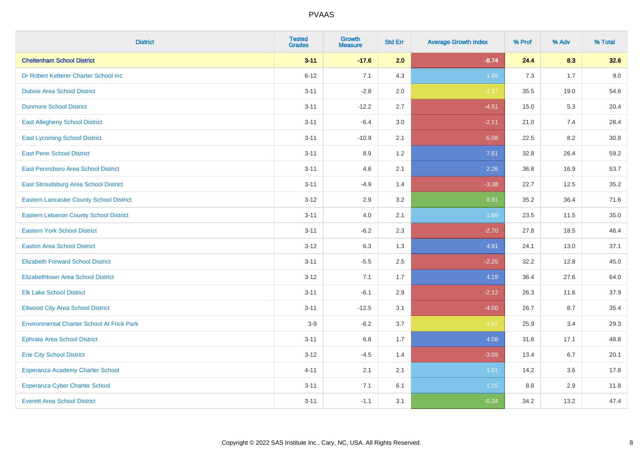| <b>District</b>                                   | <b>Tested</b><br><b>Grades</b> | Growth<br><b>Measure</b> | <b>Std Err</b> | <b>Average Growth Index</b> | % Prof | % Adv | % Total |
|---------------------------------------------------|--------------------------------|--------------------------|----------------|-----------------------------|--------|-------|---------|
| <b>Cheltenham School District</b>                 | $3 - 11$                       | $-17.6$                  | 2.0            | $-8.74$                     | 24.4   | 8.3   | 32.6    |
| Dr Robert Ketterer Charter School Inc             | $6 - 12$                       | 7.1                      | 4.3            | 1.66                        | 7.3    | 1.7   | 9.0     |
| <b>Dubois Area School District</b>                | $3 - 11$                       | $-2.8$                   | 2.0            | $-1.37$                     | 35.5   | 19.0  | 54.6    |
| <b>Dunmore School District</b>                    | $3 - 11$                       | $-12.2$                  | 2.7            | $-4.51$                     | 15.0   | 5.3   | 20.4    |
| <b>East Allegheny School District</b>             | $3 - 11$                       | $-6.4$                   | 3.0            | $-2.11$                     | 21.0   | 7.4   | 28.4    |
| <b>East Lycoming School District</b>              | $3 - 11$                       | $-10.9$                  | 2.1            | $-5.08$                     | 22.5   | 8.2   | 30.8    |
| <b>East Penn School District</b>                  | $3 - 11$                       | 8.9                      | 1.2            | 7.61                        | 32.8   | 26.4  | 59.2    |
| East Pennsboro Area School District               | $3 - 11$                       | 4.8                      | 2.1            | 2.26                        | 36.8   | 16.9  | 53.7    |
| East Stroudsburg Area School District             | $3 - 11$                       | $-4.9$                   | 1.4            | $-3.38$                     | 22.7   | 12.5  | 35.2    |
| <b>Eastern Lancaster County School District</b>   | $3 - 12$                       | 2.9                      | 3.2            | 0.91                        | 35.2   | 36.4  | 71.6    |
| Eastern Lebanon County School District            | $3 - 11$                       | 4.0                      | 2.1            | 1.89                        | 23.5   | 11.5  | 35.0    |
| <b>Eastern York School District</b>               | $3 - 11$                       | $-6.2$                   | 2.3            | $-2.70$                     | 27.8   | 18.5  | 46.4    |
| <b>Easton Area School District</b>                | $3 - 12$                       | 6.3                      | 1.3            | 4.91                        | 24.1   | 13.0  | 37.1    |
| <b>Elizabeth Forward School District</b>          | $3 - 11$                       | $-5.5$                   | 2.5            | $-2.25$                     | 32.2   | 12.8  | 45.0    |
| <b>Elizabethtown Area School District</b>         | $3 - 12$                       | 7.1                      | 1.7            | 4.19                        | 36.4   | 27.6  | 64.0    |
| <b>Elk Lake School District</b>                   | $3 - 11$                       | $-6.1$                   | 2.9            | $-2.12$                     | 26.3   | 11.6  | 37.9    |
| <b>Ellwood City Area School District</b>          | $3 - 11$                       | $-12.5$                  | 3.1            | $-4.00$                     | 26.7   | 8.7   | 35.4    |
| <b>Environmental Charter School At Frick Park</b> | $3-9$                          | $-6.2$                   | 3.7            | $-1.67$                     | 25.9   | 3.4   | 29.3    |
| <b>Ephrata Area School District</b>               | $3 - 11$                       | $6.8\,$                  | 1.7            | 4.08                        | 31.6   | 17.1  | 48.8    |
| <b>Erie City School District</b>                  | $3 - 12$                       | $-4.5$                   | 1.4            | $-3.09$                     | 13.4   | 6.7   | 20.1    |
| Esperanza Academy Charter School                  | $4 - 11$                       | 2.1                      | 2.1            | 1.01                        | 14.2   | 3.6   | 17.8    |
| <b>Esperanza Cyber Charter School</b>             | $3 - 11$                       | 7.1                      | 6.1            | 1.15                        | 8.8    | 2.9   | 11.8    |
| <b>Everett Area School District</b>               | $3 - 11$                       | $-1.1$                   | 3.1            | $-0.34$                     | 34.2   | 13.2  | 47.4    |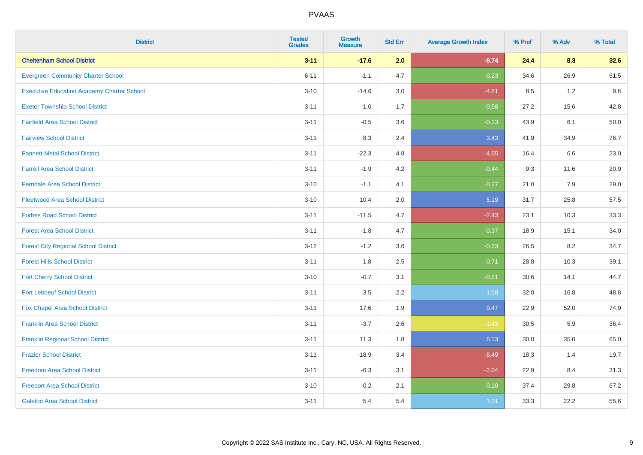| <b>District</b>                                   | <b>Tested</b><br><b>Grades</b> | <b>Growth</b><br><b>Measure</b> | <b>Std Err</b> | <b>Average Growth Index</b> | % Prof | % Adv | % Total |
|---------------------------------------------------|--------------------------------|---------------------------------|----------------|-----------------------------|--------|-------|---------|
| <b>Cheltenham School District</b>                 | $3 - 11$                       | $-17.6$                         | 2.0            | $-8.74$                     | 24.4   | 8.3   | 32.6    |
| <b>Evergreen Community Charter School</b>         | $6 - 11$                       | $-1.1$                          | 4.7            | $-0.23$                     | 34.6   | 26.9  | 61.5    |
| <b>Executive Education Academy Charter School</b> | $3 - 10$                       | $-14.6$                         | 3.0            | $-4.81$                     | 8.5    | 1.2   | 9.8     |
| <b>Exeter Township School District</b>            | $3 - 11$                       | $-1.0$                          | 1.7            | $-0.58$                     | 27.2   | 15.6  | 42.8    |
| <b>Fairfield Area School District</b>             | $3 - 11$                       | $-0.5$                          | 3.6            | $-0.13$                     | 43.9   | 6.1   | 50.0    |
| <b>Fairview School District</b>                   | $3 - 11$                       | 8.3                             | 2.4            | 3.43                        | 41.9   | 34.9  | 76.7    |
| <b>Fannett-Metal School District</b>              | $3 - 11$                       | $-22.3$                         | 4.8            | $-4.65$                     | 16.4   | 6.6   | 23.0    |
| <b>Farrell Area School District</b>               | $3 - 11$                       | $-1.9$                          | 4.2            | $-0.44$                     | 9.3    | 11.6  | 20.9    |
| <b>Ferndale Area School District</b>              | $3 - 10$                       | $-1.1$                          | 4.1            | $-0.27$                     | 21.0   | 7.9   | 29.0    |
| <b>Fleetwood Area School District</b>             | $3 - 10$                       | 10.4                            | 2.0            | 5.19                        | 31.7   | 25.8  | 57.5    |
| <b>Forbes Road School District</b>                | $3 - 11$                       | $-11.5$                         | 4.7            | $-2.43$                     | 23.1   | 10.3  | 33.3    |
| <b>Forest Area School District</b>                | $3 - 11$                       | $-1.8$                          | 4.7            | $-0.37$                     | 18.9   | 15.1  | 34.0    |
| <b>Forest City Regional School District</b>       | $3 - 12$                       | $-1.2$                          | 3.6            | $-0.33$                     | 26.5   | 8.2   | 34.7    |
| <b>Forest Hills School District</b>               | $3 - 11$                       | 1.8                             | 2.5            | 0.71                        | 28.8   | 10.3  | 39.1    |
| <b>Fort Cherry School District</b>                | $3 - 10$                       | $-0.7$                          | 3.1            | $-0.21$                     | 30.6   | 14.1  | 44.7    |
| <b>Fort Leboeuf School District</b>               | $3 - 11$                       | 3.5                             | 2.2            | 1.58                        | 32.0   | 16.8  | 48.8    |
| Fox Chapel Area School District                   | $3 - 11$                       | 17.6                            | 1.9            | 9.47                        | 22.9   | 52.0  | 74.9    |
| <b>Franklin Area School District</b>              | $3 - 11$                       | $-3.7$                          | 2.6            | $-1.43$                     | 30.5   | 5.9   | 36.4    |
| <b>Franklin Regional School District</b>          | $3 - 11$                       | 11.3                            | 1.8            | 6.13                        | 30.0   | 35.0  | 65.0    |
| <b>Frazier School District</b>                    | $3 - 11$                       | $-18.9$                         | 3.4            | $-5.49$                     | 18.3   | 1.4   | 19.7    |
| <b>Freedom Area School District</b>               | $3 - 11$                       | $-6.3$                          | 3.1            | $-2.04$                     | 22.9   | 8.4   | 31.3    |
| <b>Freeport Area School District</b>              | $3 - 10$                       | $-0.2$                          | 2.1            | $-0.10$                     | 37.4   | 29.8  | 67.2    |
| <b>Galeton Area School District</b>               | $3 - 11$                       | 5.4                             | 5.4            | 1.01                        | 33.3   | 22.2  | 55.6    |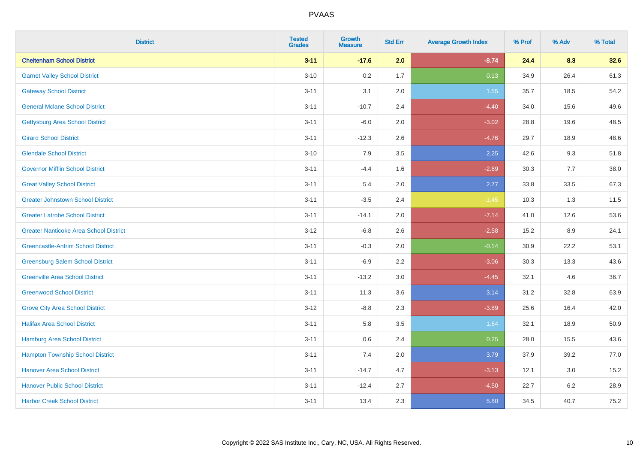| <b>District</b>                               | <b>Tested</b><br><b>Grades</b> | <b>Growth</b><br><b>Measure</b> | <b>Std Err</b> | <b>Average Growth Index</b> | % Prof | % Adv   | % Total |
|-----------------------------------------------|--------------------------------|---------------------------------|----------------|-----------------------------|--------|---------|---------|
| <b>Cheltenham School District</b>             | $3 - 11$                       | $-17.6$                         | 2.0            | $-8.74$                     | 24.4   | 8.3     | 32.6    |
| <b>Garnet Valley School District</b>          | $3 - 10$                       | 0.2                             | 1.7            | 0.13                        | 34.9   | 26.4    | 61.3    |
| <b>Gateway School District</b>                | $3 - 11$                       | 3.1                             | 2.0            | 1.55                        | 35.7   | 18.5    | 54.2    |
| <b>General Mclane School District</b>         | $3 - 11$                       | $-10.7$                         | 2.4            | $-4.40$                     | 34.0   | 15.6    | 49.6    |
| <b>Gettysburg Area School District</b>        | $3 - 11$                       | $-6.0$                          | 2.0            | $-3.02$                     | 28.8   | 19.6    | 48.5    |
| <b>Girard School District</b>                 | $3 - 11$                       | $-12.3$                         | 2.6            | $-4.76$                     | 29.7   | 18.9    | 48.6    |
| <b>Glendale School District</b>               | $3 - 10$                       | 7.9                             | 3.5            | 2.25                        | 42.6   | 9.3     | 51.8    |
| <b>Governor Mifflin School District</b>       | $3 - 11$                       | $-4.4$                          | 1.6            | $-2.69$                     | 30.3   | 7.7     | 38.0    |
| <b>Great Valley School District</b>           | $3 - 11$                       | 5.4                             | 2.0            | 2.77                        | 33.8   | 33.5    | 67.3    |
| <b>Greater Johnstown School District</b>      | $3 - 11$                       | $-3.5$                          | 2.4            | $-1.45$                     | 10.3   | 1.3     | 11.5    |
| <b>Greater Latrobe School District</b>        | $3 - 11$                       | $-14.1$                         | 2.0            | $-7.14$                     | 41.0   | 12.6    | 53.6    |
| <b>Greater Nanticoke Area School District</b> | $3 - 12$                       | $-6.8$                          | 2.6            | $-2.58$                     | 15.2   | 8.9     | 24.1    |
| <b>Greencastle-Antrim School District</b>     | $3 - 11$                       | $-0.3$                          | 2.0            | $-0.14$                     | 30.9   | 22.2    | 53.1    |
| <b>Greensburg Salem School District</b>       | $3 - 11$                       | $-6.9$                          | 2.2            | $-3.06$                     | 30.3   | 13.3    | 43.6    |
| <b>Greenville Area School District</b>        | $3 - 11$                       | $-13.2$                         | 3.0            | $-4.45$                     | 32.1   | 4.6     | 36.7    |
| <b>Greenwood School District</b>              | $3 - 11$                       | 11.3                            | 3.6            | 3.14                        | 31.2   | 32.8    | 63.9    |
| <b>Grove City Area School District</b>        | $3-12$                         | $-8.8$                          | 2.3            | $-3.89$                     | 25.6   | 16.4    | 42.0    |
| <b>Halifax Area School District</b>           | $3 - 11$                       | 5.8                             | 3.5            | 1.64                        | 32.1   | 18.9    | 50.9    |
| <b>Hamburg Area School District</b>           | $3 - 11$                       | 0.6                             | 2.4            | 0.25                        | 28.0   | 15.5    | 43.6    |
| <b>Hampton Township School District</b>       | $3 - 11$                       | 7.4                             | 2.0            | 3.79                        | 37.9   | 39.2    | 77.0    |
| <b>Hanover Area School District</b>           | $3 - 11$                       | $-14.7$                         | 4.7            | $-3.13$                     | 12.1   | $3.0\,$ | 15.2    |
| <b>Hanover Public School District</b>         | $3 - 11$                       | $-12.4$                         | 2.7            | $-4.50$                     | 22.7   | $6.2\,$ | 28.9    |
| <b>Harbor Creek School District</b>           | $3 - 11$                       | 13.4                            | 2.3            | 5.80                        | 34.5   | 40.7    | 75.2    |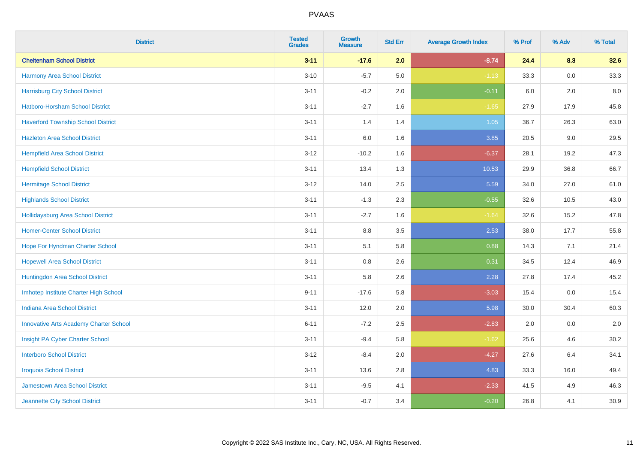| <b>District</b>                               | <b>Tested</b><br><b>Grades</b> | Growth<br><b>Measure</b> | <b>Std Err</b> | <b>Average Growth Index</b> | % Prof | % Adv | % Total |
|-----------------------------------------------|--------------------------------|--------------------------|----------------|-----------------------------|--------|-------|---------|
| <b>Cheltenham School District</b>             | $3 - 11$                       | $-17.6$                  | 2.0            | $-8.74$                     | 24.4   | 8.3   | 32.6    |
| Harmony Area School District                  | $3 - 10$                       | $-5.7$                   | 5.0            | $-1.13$                     | 33.3   | 0.0   | 33.3    |
| <b>Harrisburg City School District</b>        | $3 - 11$                       | $-0.2$                   | 2.0            | $-0.11$                     | 6.0    | 2.0   | 8.0     |
| Hatboro-Horsham School District               | $3 - 11$                       | $-2.7$                   | 1.6            | $-1.65$                     | 27.9   | 17.9  | 45.8    |
| <b>Haverford Township School District</b>     | $3 - 11$                       | 1.4                      | 1.4            | 1.05                        | 36.7   | 26.3  | 63.0    |
| <b>Hazleton Area School District</b>          | $3 - 11$                       | 6.0                      | 1.6            | 3.85                        | 20.5   | 9.0   | 29.5    |
| <b>Hempfield Area School District</b>         | $3 - 12$                       | $-10.2$                  | 1.6            | $-6.37$                     | 28.1   | 19.2  | 47.3    |
| <b>Hempfield School District</b>              | $3 - 11$                       | 13.4                     | 1.3            | 10.53                       | 29.9   | 36.8  | 66.7    |
| <b>Hermitage School District</b>              | $3 - 12$                       | 14.0                     | 2.5            | 5.59                        | 34.0   | 27.0  | 61.0    |
| <b>Highlands School District</b>              | $3 - 11$                       | $-1.3$                   | 2.3            | $-0.55$                     | 32.6   | 10.5  | 43.0    |
| <b>Hollidaysburg Area School District</b>     | $3 - 11$                       | $-2.7$                   | 1.6            | $-1.64$                     | 32.6   | 15.2  | 47.8    |
| <b>Homer-Center School District</b>           | $3 - 11$                       | 8.8                      | 3.5            | 2.53                        | 38.0   | 17.7  | 55.8    |
| Hope For Hyndman Charter School               | $3 - 11$                       | 5.1                      | 5.8            | 0.88                        | 14.3   | 7.1   | 21.4    |
| <b>Hopewell Area School District</b>          | $3 - 11$                       | $0.8\,$                  | 2.6            | 0.31                        | 34.5   | 12.4  | 46.9    |
| Huntingdon Area School District               | $3 - 11$                       | 5.8                      | 2.6            | 2.28                        | 27.8   | 17.4  | 45.2    |
| Imhotep Institute Charter High School         | $9 - 11$                       | $-17.6$                  | 5.8            | $-3.03$                     | 15.4   | 0.0   | 15.4    |
| Indiana Area School District                  | $3 - 11$                       | 12.0                     | 2.0            | 5.98                        | 30.0   | 30.4  | 60.3    |
| <b>Innovative Arts Academy Charter School</b> | $6 - 11$                       | $-7.2$                   | 2.5            | $-2.83$                     | 2.0    | 0.0   | 2.0     |
| Insight PA Cyber Charter School               | $3 - 11$                       | $-9.4$                   | 5.8            | $-1.62$                     | 25.6   | 4.6   | 30.2    |
| <b>Interboro School District</b>              | $3 - 12$                       | $-8.4$                   | 2.0            | $-4.27$                     | 27.6   | 6.4   | 34.1    |
| <b>Iroquois School District</b>               | $3 - 11$                       | 13.6                     | 2.8            | 4.83                        | 33.3   | 16.0  | 49.4    |
| <b>Jamestown Area School District</b>         | $3 - 11$                       | $-9.5$                   | 4.1            | $-2.33$                     | 41.5   | 4.9   | 46.3    |
| Jeannette City School District                | $3 - 11$                       | $-0.7$                   | 3.4            | $-0.20$                     | 26.8   | 4.1   | 30.9    |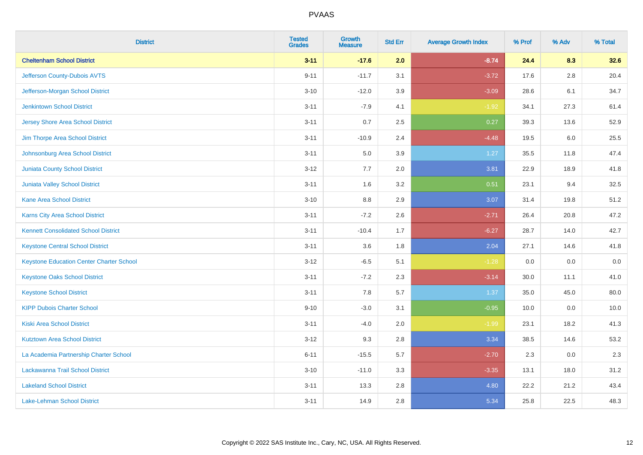| <b>District</b>                                 | <b>Tested</b><br><b>Grades</b> | <b>Growth</b><br><b>Measure</b> | <b>Std Err</b> | <b>Average Growth Index</b> | % Prof | % Adv | % Total |
|-------------------------------------------------|--------------------------------|---------------------------------|----------------|-----------------------------|--------|-------|---------|
| <b>Cheltenham School District</b>               | $3 - 11$                       | $-17.6$                         | 2.0            | $-8.74$                     | 24.4   | 8.3   | 32.6    |
| Jefferson County-Dubois AVTS                    | $9 - 11$                       | $-11.7$                         | 3.1            | $-3.72$                     | 17.6   | 2.8   | 20.4    |
| Jefferson-Morgan School District                | $3 - 10$                       | $-12.0$                         | 3.9            | $-3.09$                     | 28.6   | 6.1   | 34.7    |
| <b>Jenkintown School District</b>               | $3 - 11$                       | $-7.9$                          | 4.1            | $-1.92$                     | 34.1   | 27.3  | 61.4    |
| <b>Jersey Shore Area School District</b>        | $3 - 11$                       | 0.7                             | 2.5            | 0.27                        | 39.3   | 13.6  | 52.9    |
| Jim Thorpe Area School District                 | $3 - 11$                       | $-10.9$                         | 2.4            | $-4.48$                     | 19.5   | 6.0   | 25.5    |
| Johnsonburg Area School District                | $3 - 11$                       | 5.0                             | 3.9            | 1.27                        | 35.5   | 11.8  | 47.4    |
| <b>Juniata County School District</b>           | $3 - 12$                       | 7.7                             | 2.0            | 3.81                        | 22.9   | 18.9  | 41.8    |
| Juniata Valley School District                  | $3 - 11$                       | 1.6                             | 3.2            | 0.51                        | 23.1   | 9.4   | 32.5    |
| <b>Kane Area School District</b>                | $3 - 10$                       | 8.8                             | 2.9            | 3.07                        | 31.4   | 19.8  | 51.2    |
| Karns City Area School District                 | $3 - 11$                       | $-7.2$                          | 2.6            | $-2.71$                     | 26.4   | 20.8  | 47.2    |
| <b>Kennett Consolidated School District</b>     | $3 - 11$                       | $-10.4$                         | 1.7            | $-6.27$                     | 28.7   | 14.0  | 42.7    |
| <b>Keystone Central School District</b>         | $3 - 11$                       | 3.6                             | 1.8            | 2.04                        | 27.1   | 14.6  | 41.8    |
| <b>Keystone Education Center Charter School</b> | $3 - 12$                       | $-6.5$                          | 5.1            | $-1.28$                     | 0.0    | 0.0   | 0.0     |
| <b>Keystone Oaks School District</b>            | $3 - 11$                       | $-7.2$                          | 2.3            | $-3.14$                     | 30.0   | 11.1  | 41.0    |
| <b>Keystone School District</b>                 | $3 - 11$                       | 7.8                             | 5.7            | 1.37                        | 35.0   | 45.0  | 80.0    |
| <b>KIPP Dubois Charter School</b>               | $9 - 10$                       | $-3.0$                          | 3.1            | $-0.95$                     | 10.0   | 0.0   | 10.0    |
| <b>Kiski Area School District</b>               | $3 - 11$                       | $-4.0$                          | 2.0            | $-1.99$                     | 23.1   | 18.2  | 41.3    |
| <b>Kutztown Area School District</b>            | $3 - 12$                       | 9.3                             | 2.8            | 3.34                        | 38.5   | 14.6  | 53.2    |
| La Academia Partnership Charter School          | $6 - 11$                       | $-15.5$                         | 5.7            | $-2.70$                     | 2.3    | 0.0   | 2.3     |
| Lackawanna Trail School District                | $3 - 10$                       | $-11.0$                         | 3.3            | $-3.35$                     | 13.1   | 18.0  | 31.2    |
| <b>Lakeland School District</b>                 | $3 - 11$                       | 13.3                            | 2.8            | 4.80                        | 22.2   | 21.2  | 43.4    |
| Lake-Lehman School District                     | $3 - 11$                       | 14.9                            | 2.8            | 5.34                        | 25.8   | 22.5  | 48.3    |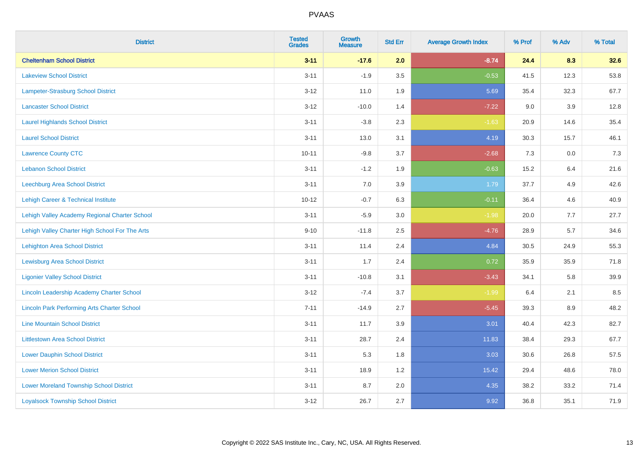| <b>District</b>                                    | <b>Tested</b><br><b>Grades</b> | <b>Growth</b><br><b>Measure</b> | <b>Std Err</b> | <b>Average Growth Index</b> | % Prof | % Adv   | % Total |
|----------------------------------------------------|--------------------------------|---------------------------------|----------------|-----------------------------|--------|---------|---------|
| <b>Cheltenham School District</b>                  | $3 - 11$                       | $-17.6$                         | 2.0            | $-8.74$                     | 24.4   | 8.3     | 32.6    |
| <b>Lakeview School District</b>                    | $3 - 11$                       | $-1.9$                          | 3.5            | $-0.53$                     | 41.5   | 12.3    | 53.8    |
| Lampeter-Strasburg School District                 | $3 - 12$                       | 11.0                            | 1.9            | 5.69                        | 35.4   | 32.3    | 67.7    |
| <b>Lancaster School District</b>                   | $3 - 12$                       | $-10.0$                         | 1.4            | $-7.22$                     | 9.0    | 3.9     | 12.8    |
| <b>Laurel Highlands School District</b>            | $3 - 11$                       | $-3.8$                          | 2.3            | $-1.63$                     | 20.9   | 14.6    | 35.4    |
| <b>Laurel School District</b>                      | $3 - 11$                       | 13.0                            | 3.1            | 4.19                        | 30.3   | 15.7    | 46.1    |
| <b>Lawrence County CTC</b>                         | $10 - 11$                      | $-9.8$                          | 3.7            | $-2.68$                     | 7.3    | $0.0\,$ | $7.3$   |
| <b>Lebanon School District</b>                     | $3 - 11$                       | $-1.2$                          | 1.9            | $-0.63$                     | 15.2   | 6.4     | 21.6    |
| Leechburg Area School District                     | $3 - 11$                       | 7.0                             | 3.9            | 1.79                        | 37.7   | 4.9     | 42.6    |
| <b>Lehigh Career &amp; Technical Institute</b>     | $10 - 12$                      | $-0.7$                          | 6.3            | $-0.11$                     | 36.4   | 4.6     | 40.9    |
| Lehigh Valley Academy Regional Charter School      | $3 - 11$                       | $-5.9$                          | 3.0            | $-1.98$                     | 20.0   | 7.7     | 27.7    |
| Lehigh Valley Charter High School For The Arts     | $9 - 10$                       | $-11.8$                         | 2.5            | $-4.76$                     | 28.9   | 5.7     | 34.6    |
| <b>Lehighton Area School District</b>              | $3 - 11$                       | 11.4                            | 2.4            | 4.84                        | 30.5   | 24.9    | 55.3    |
| <b>Lewisburg Area School District</b>              | $3 - 11$                       | 1.7                             | 2.4            | 0.72                        | 35.9   | 35.9    | 71.8    |
| <b>Ligonier Valley School District</b>             | $3 - 11$                       | $-10.8$                         | 3.1            | $-3.43$                     | 34.1   | 5.8     | 39.9    |
| Lincoln Leadership Academy Charter School          | $3 - 12$                       | $-7.4$                          | 3.7            | $-1.99$                     | 6.4    | 2.1     | 8.5     |
| <b>Lincoln Park Performing Arts Charter School</b> | $7 - 11$                       | $-14.9$                         | 2.7            | $-5.45$                     | 39.3   | 8.9     | 48.2    |
| <b>Line Mountain School District</b>               | $3 - 11$                       | 11.7                            | 3.9            | 3.01                        | 40.4   | 42.3    | 82.7    |
| <b>Littlestown Area School District</b>            | $3 - 11$                       | 28.7                            | 2.4            | 11.83                       | 38.4   | 29.3    | 67.7    |
| <b>Lower Dauphin School District</b>               | $3 - 11$                       | 5.3                             | 1.8            | 3.03                        | 30.6   | 26.8    | 57.5    |
| <b>Lower Merion School District</b>                | $3 - 11$                       | 18.9                            | 1.2            | 15.42                       | 29.4   | 48.6    | 78.0    |
| <b>Lower Moreland Township School District</b>     | $3 - 11$                       | 8.7                             | 2.0            | 4.35                        | 38.2   | 33.2    | 71.4    |
| <b>Loyalsock Township School District</b>          | $3 - 12$                       | 26.7                            | 2.7            | 9.92                        | 36.8   | 35.1    | 71.9    |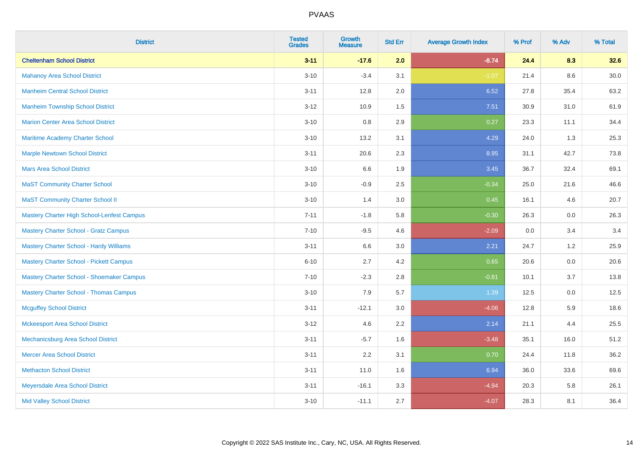| <b>District</b>                                | <b>Tested</b><br><b>Grades</b> | Growth<br><b>Measure</b> | <b>Std Err</b> | <b>Average Growth Index</b> | % Prof | % Adv | % Total |
|------------------------------------------------|--------------------------------|--------------------------|----------------|-----------------------------|--------|-------|---------|
| <b>Cheltenham School District</b>              | $3 - 11$                       | $-17.6$                  | 2.0            | $-8.74$                     | 24.4   | 8.3   | 32.6    |
| <b>Mahanoy Area School District</b>            | $3 - 10$                       | $-3.4$                   | 3.1            | $-1.07$                     | 21.4   | 8.6   | 30.0    |
| <b>Manheim Central School District</b>         | $3 - 11$                       | 12.8                     | 2.0            | 6.52                        | 27.8   | 35.4  | 63.2    |
| <b>Manheim Township School District</b>        | $3 - 12$                       | 10.9                     | 1.5            | 7.51                        | 30.9   | 31.0  | 61.9    |
| <b>Marion Center Area School District</b>      | $3 - 10$                       | 0.8                      | 2.9            | 0.27                        | 23.3   | 11.1  | 34.4    |
| Maritime Academy Charter School                | $3 - 10$                       | 13.2                     | 3.1            | 4.29                        | 24.0   | 1.3   | 25.3    |
| <b>Marple Newtown School District</b>          | $3 - 11$                       | 20.6                     | 2.3            | 8.95                        | 31.1   | 42.7  | 73.8    |
| <b>Mars Area School District</b>               | $3 - 10$                       | 6.6                      | 1.9            | 3.45                        | 36.7   | 32.4  | 69.1    |
| <b>MaST Community Charter School</b>           | $3 - 10$                       | $-0.9$                   | 2.5            | $-0.34$                     | 25.0   | 21.6  | 46.6    |
| <b>MaST Community Charter School II</b>        | $3 - 10$                       | 1.4                      | 3.0            | 0.45                        | 16.1   | 4.6   | 20.7    |
| Mastery Charter High School-Lenfest Campus     | $7 - 11$                       | $-1.8$                   | 5.8            | $-0.30$                     | 26.3   | 0.0   | 26.3    |
| <b>Mastery Charter School - Gratz Campus</b>   | $7 - 10$                       | $-9.5$                   | 4.6            | $-2.09$                     | 0.0    | 3.4   | 3.4     |
| <b>Mastery Charter School - Hardy Williams</b> | $3 - 11$                       | 6.6                      | 3.0            | 2.21                        | 24.7   | 1.2   | 25.9    |
| <b>Mastery Charter School - Pickett Campus</b> | $6 - 10$                       | 2.7                      | 4.2            | 0.65                        | 20.6   | 0.0   | 20.6    |
| Mastery Charter School - Shoemaker Campus      | $7 - 10$                       | $-2.3$                   | 2.8            | $-0.81$                     | 10.1   | 3.7   | 13.8    |
| <b>Mastery Charter School - Thomas Campus</b>  | $3 - 10$                       | 7.9                      | 5.7            | 1.39                        | 12.5   | 0.0   | 12.5    |
| <b>Mcguffey School District</b>                | $3 - 11$                       | $-12.1$                  | 3.0            | $-4.06$                     | 12.8   | 5.9   | 18.6    |
| <b>Mckeesport Area School District</b>         | $3 - 12$                       | 4.6                      | 2.2            | 2.14                        | 21.1   | 4.4   | 25.5    |
| Mechanicsburg Area School District             | $3 - 11$                       | $-5.7$                   | 1.6            | $-3.48$                     | 35.1   | 16.0  | 51.2    |
| <b>Mercer Area School District</b>             | $3 - 11$                       | 2.2                      | 3.1            | 0.70                        | 24.4   | 11.8  | 36.2    |
| <b>Methacton School District</b>               | $3 - 11$                       | 11.0                     | 1.6            | 6.94                        | 36.0   | 33.6  | 69.6    |
| Meyersdale Area School District                | $3 - 11$                       | $-16.1$                  | 3.3            | $-4.94$                     | 20.3   | 5.8   | 26.1    |
| <b>Mid Valley School District</b>              | $3 - 10$                       | $-11.1$                  | 2.7            | $-4.07$                     | 28.3   | 8.1   | 36.4    |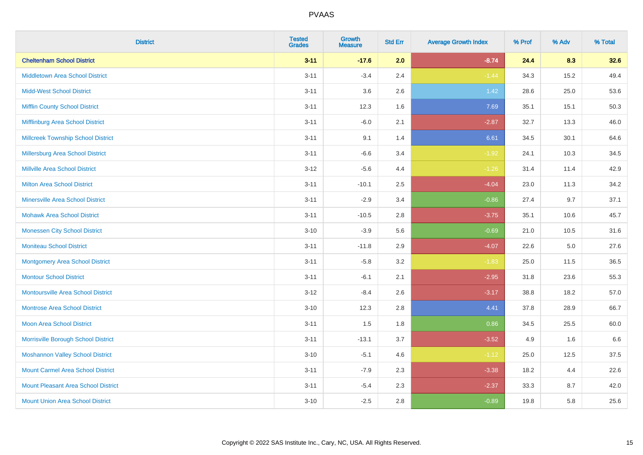| <b>District</b>                            | <b>Tested</b><br><b>Grades</b> | <b>Growth</b><br><b>Measure</b> | <b>Std Err</b> | <b>Average Growth Index</b> | % Prof | % Adv   | % Total |
|--------------------------------------------|--------------------------------|---------------------------------|----------------|-----------------------------|--------|---------|---------|
| <b>Cheltenham School District</b>          | $3 - 11$                       | $-17.6$                         | 2.0            | $-8.74$                     | 24.4   | 8.3     | 32.6    |
| <b>Middletown Area School District</b>     | $3 - 11$                       | $-3.4$                          | 2.4            | $-1.44$                     | 34.3   | 15.2    | 49.4    |
| <b>Midd-West School District</b>           | $3 - 11$                       | 3.6                             | 2.6            | 1.42                        | 28.6   | 25.0    | 53.6    |
| <b>Mifflin County School District</b>      | $3 - 11$                       | 12.3                            | 1.6            | 7.69                        | 35.1   | 15.1    | 50.3    |
| Mifflinburg Area School District           | $3 - 11$                       | $-6.0$                          | 2.1            | $-2.87$                     | 32.7   | 13.3    | 46.0    |
| <b>Millcreek Township School District</b>  | $3 - 11$                       | 9.1                             | 1.4            | 6.61                        | 34.5   | 30.1    | 64.6    |
| Millersburg Area School District           | $3 - 11$                       | $-6.6$                          | 3.4            | $-1.92$                     | 24.1   | 10.3    | 34.5    |
| <b>Millville Area School District</b>      | $3 - 12$                       | $-5.6$                          | 4.4            | $-1.26$                     | 31.4   | 11.4    | 42.9    |
| <b>Milton Area School District</b>         | $3 - 11$                       | $-10.1$                         | 2.5            | $-4.04$                     | 23.0   | 11.3    | 34.2    |
| <b>Minersville Area School District</b>    | $3 - 11$                       | $-2.9$                          | 3.4            | $-0.86$                     | 27.4   | 9.7     | 37.1    |
| <b>Mohawk Area School District</b>         | $3 - 11$                       | $-10.5$                         | 2.8            | $-3.75$                     | 35.1   | 10.6    | 45.7    |
| <b>Monessen City School District</b>       | $3 - 10$                       | $-3.9$                          | 5.6            | $-0.69$                     | 21.0   | 10.5    | 31.6    |
| <b>Moniteau School District</b>            | $3 - 11$                       | $-11.8$                         | 2.9            | $-4.07$                     | 22.6   | $5.0\,$ | 27.6    |
| <b>Montgomery Area School District</b>     | $3 - 11$                       | $-5.8$                          | 3.2            | $-1.83$                     | 25.0   | 11.5    | 36.5    |
| <b>Montour School District</b>             | $3 - 11$                       | $-6.1$                          | 2.1            | $-2.95$                     | 31.8   | 23.6    | 55.3    |
| <b>Montoursville Area School District</b>  | $3 - 12$                       | $-8.4$                          | 2.6            | $-3.17$                     | 38.8   | 18.2    | 57.0    |
| <b>Montrose Area School District</b>       | $3 - 10$                       | 12.3                            | 2.8            | 4.41                        | 37.8   | 28.9    | 66.7    |
| <b>Moon Area School District</b>           | $3 - 11$                       | 1.5                             | 1.8            | 0.86                        | 34.5   | 25.5    | 60.0    |
| Morrisville Borough School District        | $3 - 11$                       | $-13.1$                         | 3.7            | $-3.52$                     | 4.9    | 1.6     | 6.6     |
| <b>Moshannon Valley School District</b>    | $3 - 10$                       | $-5.1$                          | 4.6            | $-1.12$                     | 25.0   | 12.5    | 37.5    |
| <b>Mount Carmel Area School District</b>   | $3 - 11$                       | $-7.9$                          | 2.3            | $-3.38$                     | 18.2   | 4.4     | 22.6    |
| <b>Mount Pleasant Area School District</b> | $3 - 11$                       | $-5.4$                          | 2.3            | $-2.37$                     | 33.3   | 8.7     | 42.0    |
| <b>Mount Union Area School District</b>    | $3 - 10$                       | $-2.5$                          | 2.8            | $-0.89$                     | 19.8   | 5.8     | 25.6    |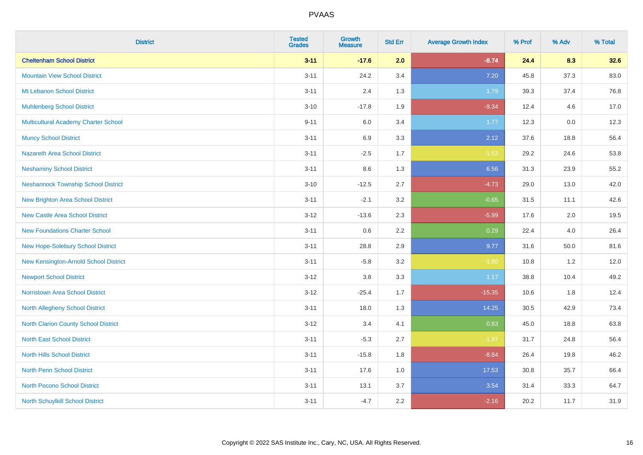| <b>District</b>                             | <b>Tested</b><br><b>Grades</b> | <b>Growth</b><br><b>Measure</b> | <b>Std Err</b> | <b>Average Growth Index</b> | % Prof | % Adv | % Total |
|---------------------------------------------|--------------------------------|---------------------------------|----------------|-----------------------------|--------|-------|---------|
| <b>Cheltenham School District</b>           | $3 - 11$                       | $-17.6$                         | 2.0            | $-8.74$                     | 24.4   | 8.3   | 32.6    |
| <b>Mountain View School District</b>        | $3 - 11$                       | 24.2                            | 3.4            | 7.20                        | 45.8   | 37.3  | 83.0    |
| Mt Lebanon School District                  | $3 - 11$                       | 2.4                             | 1.3            | 1.79                        | 39.3   | 37.4  | 76.8    |
| <b>Muhlenberg School District</b>           | $3 - 10$                       | $-17.8$                         | 1.9            | $-9.34$                     | 12.4   | 4.6   | 17.0    |
| <b>Multicultural Academy Charter School</b> | $9 - 11$                       | 6.0                             | 3.4            | 1.77                        | 12.3   | 0.0   | 12.3    |
| <b>Muncy School District</b>                | $3 - 11$                       | 6.9                             | 3.3            | 2.12                        | 37.6   | 18.8  | 56.4    |
| Nazareth Area School District               | $3 - 11$                       | $-2.5$                          | 1.7            | $-1.53$                     | 29.2   | 24.6  | 53.8    |
| <b>Neshaminy School District</b>            | $3 - 11$                       | 8.6                             | 1.3            | 6.56                        | 31.3   | 23.9  | 55.2    |
| <b>Neshannock Township School District</b>  | $3 - 10$                       | $-12.5$                         | 2.7            | $-4.73$                     | 29.0   | 13.0  | 42.0    |
| <b>New Brighton Area School District</b>    | $3 - 11$                       | $-2.1$                          | 3.2            | $-0.65$                     | 31.5   | 11.1  | 42.6    |
| <b>New Castle Area School District</b>      | $3 - 12$                       | $-13.6$                         | 2.3            | $-5.99$                     | 17.6   | 2.0   | 19.5    |
| <b>New Foundations Charter School</b>       | $3 - 11$                       | 0.6                             | 2.2            | 0.29                        | 22.4   | 4.0   | 26.4    |
| New Hope-Solebury School District           | $3 - 11$                       | 28.8                            | 2.9            | 9.77                        | 31.6   | 50.0  | 81.6    |
| New Kensington-Arnold School District       | $3 - 11$                       | $-5.8$                          | 3.2            | $-1.80$                     | 10.8   | 1.2   | 12.0    |
| <b>Newport School District</b>              | $3-12$                         | $3.8\,$                         | 3.3            | 1.17                        | 38.8   | 10.4  | 49.2    |
| <b>Norristown Area School District</b>      | $3 - 12$                       | $-25.4$                         | 1.7            | $-15.35$                    | 10.6   | 1.8   | 12.4    |
| <b>North Allegheny School District</b>      | $3 - 11$                       | 18.0                            | 1.3            | 14.25                       | 30.5   | 42.9  | 73.4    |
| North Clarion County School District        | $3-12$                         | 3.4                             | 4.1            | 0.83                        | 45.0   | 18.8  | 63.8    |
| <b>North East School District</b>           | $3 - 11$                       | $-5.3$                          | 2.7            | $-1.97$                     | 31.7   | 24.8  | 56.4    |
| <b>North Hills School District</b>          | $3 - 11$                       | $-15.8$                         | 1.8            | $-8.84$                     | 26.4   | 19.8  | 46.2    |
| North Penn School District                  | $3 - 11$                       | 17.6                            | 1.0            | 17.53                       | 30.8   | 35.7  | 66.4    |
| <b>North Pocono School District</b>         | $3 - 11$                       | 13.1                            | 3.7            | 3.54                        | 31.4   | 33.3  | 64.7    |
| <b>North Schuylkill School District</b>     | $3 - 11$                       | $-4.7$                          | 2.2            | $-2.16$                     | 20.2   | 11.7  | 31.9    |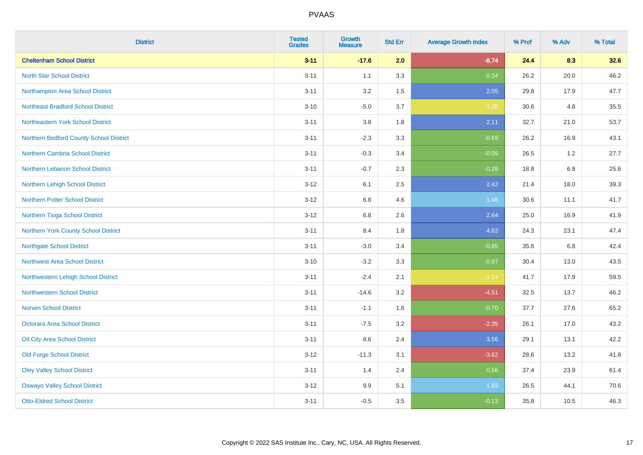| <b>District</b>                           | <b>Tested</b><br><b>Grades</b> | <b>Growth</b><br><b>Measure</b> | <b>Std Err</b> | <b>Average Growth Index</b> | % Prof | % Adv   | % Total |
|-------------------------------------------|--------------------------------|---------------------------------|----------------|-----------------------------|--------|---------|---------|
| <b>Cheltenham School District</b>         | $3 - 11$                       | $-17.6$                         | 2.0            | $-8.74$                     | 24.4   | 8.3     | 32.6    |
| <b>North Star School District</b>         | $3 - 11$                       | 1.1                             | 3.3            | 0.34                        | 26.2   | 20.0    | 46.2    |
| Northampton Area School District          | $3 - 11$                       | 3.2                             | 1.5            | 2.05                        | 29.8   | 17.9    | 47.7    |
| <b>Northeast Bradford School District</b> | $3 - 10$                       | $-5.0$                          | 3.7            | $-1.35$                     | 30.6   | 4.8     | 35.5    |
| Northeastern York School District         | $3 - 11$                       | 3.8                             | 1.8            | 2.11                        | 32.7   | 21.0    | 53.7    |
| Northern Bedford County School District   | $3 - 11$                       | $-2.3$                          | 3.3            | $-0.69$                     | 26.2   | 16.9    | 43.1    |
| Northern Cambria School District          | $3 - 11$                       | $-0.3$                          | 3.4            | $-0.09$                     | 26.5   | 1.2     | 27.7    |
| Northern Lebanon School District          | $3 - 11$                       | $-0.7$                          | 2.3            | $-0.29$                     | 18.8   | 6.8     | 25.6    |
| Northern Lehigh School District           | $3 - 12$                       | 6.1                             | 2.5            | 2.42                        | 21.4   | 18.0    | 39.3    |
| Northern Potter School District           | $3 - 12$                       | 6.8                             | 4.6            | 1.48                        | 30.6   | 11.1    | 41.7    |
| Northern Tioga School District            | $3 - 12$                       | 6.8                             | 2.6            | 2.64                        | 25.0   | 16.9    | 41.9    |
| Northern York County School District      | $3 - 11$                       | 8.4                             | 1.8            | 4.63                        | 24.3   | 23.1    | 47.4    |
| <b>Northgate School District</b>          | $3 - 11$                       | $-3.0$                          | 3.4            | $-0.85$                     | 35.6   | $6.8\,$ | 42.4    |
| <b>Northwest Area School District</b>     | $3 - 10$                       | $-3.2$                          | 3.3            | $-0.97$                     | 30.4   | 13.0    | 43.5    |
| Northwestern Lehigh School District       | $3 - 11$                       | $-2.4$                          | 2.1            | $-1.14$                     | 41.7   | 17.9    | 59.5    |
| <b>Northwestern School District</b>       | $3 - 11$                       | $-14.6$                         | 3.2            | $-4.51$                     | 32.5   | 13.7    | 46.2    |
| <b>Norwin School District</b>             | $3 - 11$                       | $-1.1$                          | 1.6            | $-0.70$                     | 37.7   | 27.6    | 65.2    |
| <b>Octorara Area School District</b>      | $3 - 11$                       | $-7.5$                          | 3.2            | $-2.35$                     | 26.1   | 17.0    | 43.2    |
| Oil City Area School District             | $3 - 11$                       | 8.6                             | 2.4            | 3.56                        | 29.1   | 13.1    | 42.2    |
| <b>Old Forge School District</b>          | $3 - 12$                       | $-11.3$                         | 3.1            | $-3.62$                     | 28.6   | 13.2    | 41.8    |
| <b>Oley Valley School District</b>        | $3 - 11$                       | 1.4                             | 2.4            | 0.56                        | 37.4   | 23.9    | 61.4    |
| <b>Oswayo Valley School District</b>      | $3 - 12$                       | 9.9                             | 5.1            | 1.93                        | 26.5   | 44.1    | 70.6    |
| <b>Otto-Eldred School District</b>        | $3 - 11$                       | $-0.5$                          | 3.5            | $-0.13$                     | 35.8   | 10.5    | 46.3    |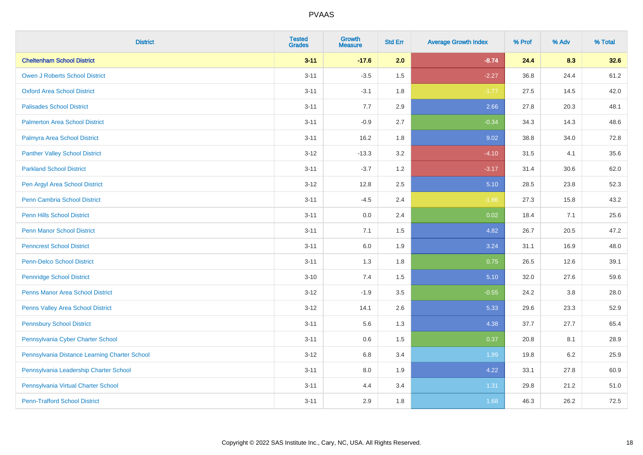| <b>District</b>                               | <b>Tested</b><br><b>Grades</b> | <b>Growth</b><br><b>Measure</b> | <b>Std Err</b> | <b>Average Growth Index</b> | % Prof | % Adv   | % Total |
|-----------------------------------------------|--------------------------------|---------------------------------|----------------|-----------------------------|--------|---------|---------|
| <b>Cheltenham School District</b>             | $3 - 11$                       | $-17.6$                         | 2.0            | $-8.74$                     | 24.4   | 8.3     | 32.6    |
| <b>Owen J Roberts School District</b>         | $3 - 11$                       | $-3.5$                          | 1.5            | $-2.27$                     | 36.8   | 24.4    | 61.2    |
| <b>Oxford Area School District</b>            | $3 - 11$                       | $-3.1$                          | 1.8            | $-1.77$                     | 27.5   | 14.5    | 42.0    |
| <b>Palisades School District</b>              | $3 - 11$                       | 7.7                             | 2.9            | 2.66                        | 27.8   | 20.3    | 48.1    |
| <b>Palmerton Area School District</b>         | $3 - 11$                       | $-0.9$                          | 2.7            | $-0.34$                     | 34.3   | 14.3    | 48.6    |
| Palmyra Area School District                  | $3 - 11$                       | 16.2                            | 1.8            | 9.02                        | 38.8   | 34.0    | 72.8    |
| <b>Panther Valley School District</b>         | $3 - 12$                       | $-13.3$                         | 3.2            | $-4.10$                     | 31.5   | 4.1     | 35.6    |
| <b>Parkland School District</b>               | $3 - 11$                       | $-3.7$                          | 1.2            | $-3.17$                     | 31.4   | 30.6    | 62.0    |
| Pen Argyl Area School District                | $3-12$                         | 12.8                            | 2.5            | 5.10                        | 28.5   | 23.8    | 52.3    |
| <b>Penn Cambria School District</b>           | $3 - 11$                       | $-4.5$                          | 2.4            | $-1.86$                     | 27.3   | 15.8    | 43.2    |
| <b>Penn Hills School District</b>             | $3 - 11$                       | 0.0                             | 2.4            | 0.02                        | 18.4   | 7.1     | 25.6    |
| <b>Penn Manor School District</b>             | $3 - 11$                       | 7.1                             | 1.5            | 4.82                        | 26.7   | 20.5    | 47.2    |
| <b>Penncrest School District</b>              | $3 - 11$                       | $6.0\,$                         | 1.9            | 3.24                        | 31.1   | 16.9    | 48.0    |
| <b>Penn-Delco School District</b>             | $3 - 11$                       | 1.3                             | 1.8            | 0.75                        | 26.5   | 12.6    | 39.1    |
| <b>Pennridge School District</b>              | $3 - 10$                       | 7.4                             | 1.5            | 5.10                        | 32.0   | 27.6    | 59.6    |
| <b>Penns Manor Area School District</b>       | $3 - 12$                       | $-1.9$                          | 3.5            | $-0.55$                     | 24.2   | $3.8\,$ | 28.0    |
| Penns Valley Area School District             | $3 - 12$                       | 14.1                            | 2.6            | 5.33                        | 29.6   | 23.3    | 52.9    |
| <b>Pennsbury School District</b>              | $3 - 11$                       | 5.6                             | 1.3            | 4.38                        | 37.7   | 27.7    | 65.4    |
| Pennsylvania Cyber Charter School             | $3 - 11$                       | 0.6                             | 1.5            | 0.37                        | 20.8   | 8.1     | 28.9    |
| Pennsylvania Distance Learning Charter School | $3-12$                         | 6.8                             | 3.4            | 1.99                        | 19.8   | 6.2     | 25.9    |
| Pennsylvania Leadership Charter School        | $3 - 11$                       | 8.0                             | 1.9            | 4.22                        | 33.1   | 27.8    | 60.9    |
| Pennsylvania Virtual Charter School           | $3 - 11$                       | 4.4                             | 3.4            | 1.31                        | 29.8   | 21.2    | 51.0    |
| <b>Penn-Trafford School District</b>          | $3 - 11$                       | 2.9                             | 1.8            | 1.68                        | 46.3   | 26.2    | 72.5    |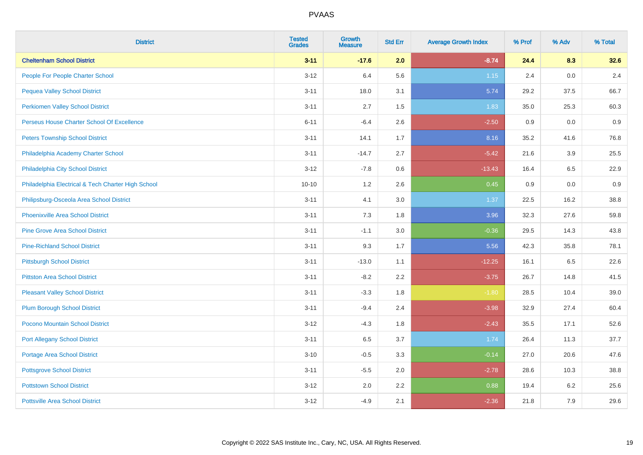| <b>District</b>                                    | <b>Tested</b><br><b>Grades</b> | <b>Growth</b><br><b>Measure</b> | <b>Std Err</b> | <b>Average Growth Index</b> | % Prof | % Adv | % Total |
|----------------------------------------------------|--------------------------------|---------------------------------|----------------|-----------------------------|--------|-------|---------|
| <b>Cheltenham School District</b>                  | $3 - 11$                       | $-17.6$                         | 2.0            | $-8.74$                     | 24.4   | 8.3   | 32.6    |
| People For People Charter School                   | $3-12$                         | 6.4                             | 5.6            | $1.15$                      | 2.4    | 0.0   | 2.4     |
| <b>Pequea Valley School District</b>               | $3 - 11$                       | 18.0                            | 3.1            | 5.74                        | 29.2   | 37.5  | 66.7    |
| <b>Perkiomen Valley School District</b>            | $3 - 11$                       | 2.7                             | 1.5            | 1.83                        | 35.0   | 25.3  | 60.3    |
| Perseus House Charter School Of Excellence         | $6 - 11$                       | $-6.4$                          | 2.6            | $-2.50$                     | 0.9    | 0.0   | 0.9     |
| <b>Peters Township School District</b>             | $3 - 11$                       | 14.1                            | 1.7            | 8.16                        | 35.2   | 41.6  | 76.8    |
| Philadelphia Academy Charter School                | $3 - 11$                       | $-14.7$                         | 2.7            | $-5.42$                     | 21.6   | 3.9   | 25.5    |
| Philadelphia City School District                  | $3 - 12$                       | $-7.8$                          | 0.6            | $-13.43$                    | 16.4   | 6.5   | 22.9    |
| Philadelphia Electrical & Tech Charter High School | $10 - 10$                      | 1.2                             | 2.6            | 0.45                        | 0.9    | 0.0   | 0.9     |
| Philipsburg-Osceola Area School District           | $3 - 11$                       | 4.1                             | 3.0            | 1.37                        | 22.5   | 16.2  | 38.8    |
| <b>Phoenixville Area School District</b>           | $3 - 11$                       | 7.3                             | 1.8            | 3.96                        | 32.3   | 27.6  | 59.8    |
| <b>Pine Grove Area School District</b>             | $3 - 11$                       | $-1.1$                          | 3.0            | $-0.36$                     | 29.5   | 14.3  | 43.8    |
| <b>Pine-Richland School District</b>               | $3 - 11$                       | 9.3                             | 1.7            | 5.56                        | 42.3   | 35.8  | 78.1    |
| <b>Pittsburgh School District</b>                  | $3 - 11$                       | $-13.0$                         | 1.1            | $-12.25$                    | 16.1   | 6.5   | 22.6    |
| <b>Pittston Area School District</b>               | $3 - 11$                       | $-8.2$                          | 2.2            | $-3.75$                     | 26.7   | 14.8  | 41.5    |
| <b>Pleasant Valley School District</b>             | $3 - 11$                       | $-3.3$                          | 1.8            | $-1.80$                     | 28.5   | 10.4  | 39.0    |
| <b>Plum Borough School District</b>                | $3 - 11$                       | $-9.4$                          | 2.4            | $-3.98$                     | 32.9   | 27.4  | 60.4    |
| Pocono Mountain School District                    | $3 - 12$                       | $-4.3$                          | 1.8            | $-2.43$                     | 35.5   | 17.1  | 52.6    |
| <b>Port Allegany School District</b>               | $3 - 11$                       | 6.5                             | 3.7            | 1.74                        | 26.4   | 11.3  | 37.7    |
| <b>Portage Area School District</b>                | $3 - 10$                       | $-0.5$                          | 3.3            | $-0.14$                     | 27.0   | 20.6  | 47.6    |
| <b>Pottsgrove School District</b>                  | $3 - 11$                       | $-5.5$                          | 2.0            | $-2.78$                     | 28.6   | 10.3  | 38.8    |
| <b>Pottstown School District</b>                   | $3 - 12$                       | 2.0                             | 2.2            | 0.88                        | 19.4   | 6.2   | 25.6    |
| <b>Pottsville Area School District</b>             | $3 - 12$                       | $-4.9$                          | 2.1            | $-2.36$                     | 21.8   | 7.9   | 29.6    |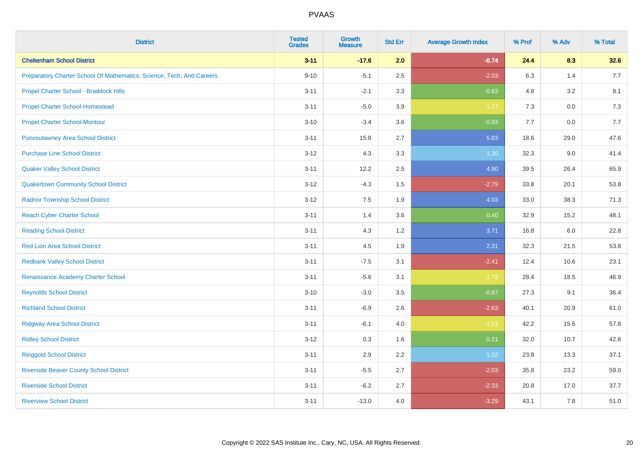| <b>District</b>                                                       | <b>Tested</b><br><b>Grades</b> | <b>Growth</b><br><b>Measure</b> | <b>Std Err</b> | <b>Average Growth Index</b> | % Prof | % Adv   | % Total |
|-----------------------------------------------------------------------|--------------------------------|---------------------------------|----------------|-----------------------------|--------|---------|---------|
| <b>Cheltenham School District</b>                                     | $3 - 11$                       | $-17.6$                         | 2.0            | $-8.74$                     | 24.4   | 8.3     | 32.6    |
| Preparatory Charter School Of Mathematics, Science, Tech, And Careers | $9 - 10$                       | $-5.1$                          | 2.5            | $-2.03$                     | 6.3    | 1.4     | 7.7     |
| Propel Charter School - Braddock Hills                                | $3 - 11$                       | $-2.1$                          | 3.3            | $-0.63$                     | 4.8    | 3.2     | 8.1     |
| <b>Propel Charter School-Homestead</b>                                | $3 - 11$                       | $-5.0$                          | 3.9            | $-1.27$                     | $7.3$  | $0.0\,$ | $7.3$   |
| <b>Propel Charter School-Montour</b>                                  | $3 - 10$                       | $-3.4$                          | 3.6            | $-0.93$                     | 7.7    | 0.0     | 7.7     |
| <b>Punxsutawney Area School District</b>                              | $3 - 11$                       | 15.8                            | 2.7            | 5.83                        | 18.6   | 29.0    | 47.6    |
| <b>Purchase Line School District</b>                                  | $3 - 12$                       | 4.3                             | 3.3            | 1.30                        | 32.3   | 9.0     | 41.4    |
| <b>Quaker Valley School District</b>                                  | $3 - 11$                       | 12.2                            | 2.5            | 4.90                        | 39.5   | 26.4    | 65.9    |
| <b>Quakertown Community School District</b>                           | $3 - 12$                       | $-4.3$                          | 1.5            | $-2.79$                     | 33.8   | 20.1    | 53.8    |
| <b>Radnor Township School District</b>                                | $3 - 12$                       | 7.5                             | 1.9            | 4.03                        | 33.0   | 38.3    | 71.3    |
| <b>Reach Cyber Charter School</b>                                     | $3 - 11$                       | 1.4                             | 3.6            | 0.40                        | 32.9   | 15.2    | 48.1    |
| <b>Reading School District</b>                                        | $3 - 11$                       | 4.3                             | 1.2            | 3.71                        | 16.8   | 6.0     | 22.8    |
| <b>Red Lion Area School District</b>                                  | $3 - 11$                       | 4.5                             | 1.9            | 2.31                        | 32.3   | 21.5    | 53.8    |
| <b>Redbank Valley School District</b>                                 | $3 - 11$                       | $-7.5$                          | 3.1            | $-2.41$                     | 12.4   | 10.6    | 23.1    |
| Renaissance Academy Charter School                                    | $3 - 11$                       | $-5.6$                          | 3.1            | $-1.79$                     | 28.4   | 18.5    | 46.9    |
| <b>Reynolds School District</b>                                       | $3 - 10$                       | $-3.0$                          | 3.5            | $-0.87$                     | 27.3   | 9.1     | 36.4    |
| <b>Richland School District</b>                                       | $3 - 11$                       | $-6.9$                          | 2.6            | $-2.63$                     | 40.1   | 20.9    | 61.0    |
| <b>Ridgway Area School District</b>                                   | $3 - 11$                       | $-6.1$                          | 4.0            | $-1.53$                     | 42.2   | 15.6    | 57.8    |
| <b>Ridley School District</b>                                         | $3 - 12$                       | 0.3                             | 1.6            | 0.21                        | 32.0   | 10.7    | 42.6    |
| <b>Ringgold School District</b>                                       | $3 - 11$                       | 2.9                             | 2.2            | 1.32                        | 23.8   | 13.3    | 37.1    |
| <b>Riverside Beaver County School District</b>                        | $3 - 11$                       | $-5.5$                          | 2.7            | $-2.03$                     | 35.8   | 23.2    | 59.0    |
| <b>Riverside School District</b>                                      | $3 - 11$                       | $-6.2$                          | 2.7            | $-2.33$                     | 20.8   | 17.0    | 37.7    |
| <b>Riverview School District</b>                                      | $3 - 11$                       | $-13.0$                         | 4.0            | $-3.29$                     | 43.1   | 7.8     | 51.0    |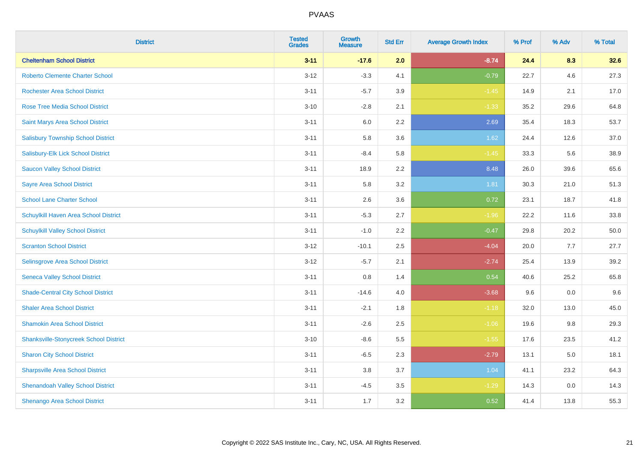| <b>District</b>                               | <b>Tested</b><br><b>Grades</b> | <b>Growth</b><br><b>Measure</b> | <b>Std Err</b> | <b>Average Growth Index</b> | % Prof | % Adv | % Total |
|-----------------------------------------------|--------------------------------|---------------------------------|----------------|-----------------------------|--------|-------|---------|
| <b>Cheltenham School District</b>             | $3 - 11$                       | $-17.6$                         | 2.0            | $-8.74$                     | 24.4   | 8.3   | 32.6    |
| <b>Roberto Clemente Charter School</b>        | $3 - 12$                       | $-3.3$                          | 4.1            | $-0.79$                     | 22.7   | 4.6   | 27.3    |
| <b>Rochester Area School District</b>         | $3 - 11$                       | $-5.7$                          | 3.9            | $-1.45$                     | 14.9   | 2.1   | 17.0    |
| <b>Rose Tree Media School District</b>        | $3 - 10$                       | $-2.8$                          | 2.1            | $-1.33$                     | 35.2   | 29.6  | 64.8    |
| Saint Marys Area School District              | $3 - 11$                       | 6.0                             | 2.2            | 2.69                        | 35.4   | 18.3  | 53.7    |
| <b>Salisbury Township School District</b>     | $3 - 11$                       | 5.8                             | 3.6            | 1.62                        | 24.4   | 12.6  | 37.0    |
| Salisbury-Elk Lick School District            | $3 - 11$                       | $-8.4$                          | 5.8            | $-1.45$                     | 33.3   | 5.6   | 38.9    |
| <b>Saucon Valley School District</b>          | $3 - 11$                       | 18.9                            | 2.2            | 8.48                        | 26.0   | 39.6  | 65.6    |
| <b>Sayre Area School District</b>             | $3 - 11$                       | 5.8                             | 3.2            | 1.81                        | 30.3   | 21.0  | 51.3    |
| <b>School Lane Charter School</b>             | $3 - 11$                       | 2.6                             | 3.6            | 0.72                        | 23.1   | 18.7  | 41.8    |
| Schuylkill Haven Area School District         | $3 - 11$                       | $-5.3$                          | 2.7            | $-1.96$                     | 22.2   | 11.6  | 33.8    |
| <b>Schuylkill Valley School District</b>      | $3 - 11$                       | $-1.0$                          | 2.2            | $-0.47$                     | 29.8   | 20.2  | 50.0    |
| <b>Scranton School District</b>               | $3 - 12$                       | $-10.1$                         | 2.5            | $-4.04$                     | 20.0   | 7.7   | 27.7    |
| Selinsgrove Area School District              | $3-12$                         | $-5.7$                          | 2.1            | $-2.74$                     | 25.4   | 13.9  | 39.2    |
| <b>Seneca Valley School District</b>          | $3 - 11$                       | 0.8                             | 1.4            | 0.54                        | 40.6   | 25.2  | 65.8    |
| <b>Shade-Central City School District</b>     | $3 - 11$                       | $-14.6$                         | 4.0            | $-3.68$                     | 9.6    | 0.0   | 9.6     |
| <b>Shaler Area School District</b>            | $3 - 11$                       | $-2.1$                          | 1.8            | $-1.18$                     | 32.0   | 13.0  | 45.0    |
| <b>Shamokin Area School District</b>          | $3 - 11$                       | $-2.6$                          | 2.5            | $-1.06$                     | 19.6   | 9.8   | 29.3    |
| <b>Shanksville-Stonycreek School District</b> | $3 - 10$                       | $-8.6$                          | 5.5            | $-1.55$                     | 17.6   | 23.5  | 41.2    |
| <b>Sharon City School District</b>            | $3 - 11$                       | $-6.5$                          | 2.3            | $-2.79$                     | 13.1   | 5.0   | 18.1    |
| <b>Sharpsville Area School District</b>       | $3 - 11$                       | 3.8                             | 3.7            | 1.04                        | 41.1   | 23.2  | 64.3    |
| <b>Shenandoah Valley School District</b>      | $3 - 11$                       | $-4.5$                          | 3.5            | $-1.29$                     | 14.3   | 0.0   | 14.3    |
| Shenango Area School District                 | $3 - 11$                       | 1.7                             | 3.2            | 0.52                        | 41.4   | 13.8  | 55.3    |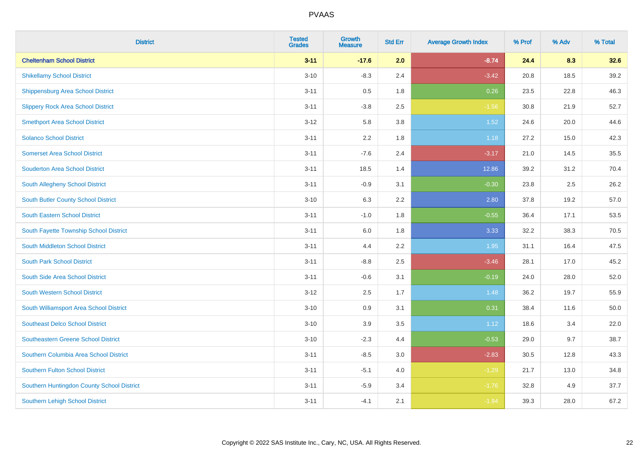| <b>District</b>                            | <b>Tested</b><br><b>Grades</b> | <b>Growth</b><br><b>Measure</b> | <b>Std Err</b> | <b>Average Growth Index</b> | % Prof | % Adv | % Total |
|--------------------------------------------|--------------------------------|---------------------------------|----------------|-----------------------------|--------|-------|---------|
| <b>Cheltenham School District</b>          | $3 - 11$                       | $-17.6$                         | 2.0            | $-8.74$                     | 24.4   | 8.3   | 32.6    |
| <b>Shikellamy School District</b>          | $3 - 10$                       | $-8.3$                          | 2.4            | $-3.42$                     | 20.8   | 18.5  | 39.2    |
| <b>Shippensburg Area School District</b>   | $3 - 11$                       | 0.5                             | 1.8            | 0.26                        | 23.5   | 22.8  | 46.3    |
| <b>Slippery Rock Area School District</b>  | $3 - 11$                       | $-3.8$                          | 2.5            | $-1.56$                     | 30.8   | 21.9  | 52.7    |
| <b>Smethport Area School District</b>      | $3 - 12$                       | 5.8                             | 3.8            | 1.52                        | 24.6   | 20.0  | 44.6    |
| <b>Solanco School District</b>             | $3 - 11$                       | 2.2                             | 1.8            | 1.18                        | 27.2   | 15.0  | 42.3    |
| <b>Somerset Area School District</b>       | $3 - 11$                       | $-7.6$                          | 2.4            | $-3.17$                     | 21.0   | 14.5  | 35.5    |
| <b>Souderton Area School District</b>      | $3 - 11$                       | 18.5                            | 1.4            | 12.86                       | 39.2   | 31.2  | 70.4    |
| <b>South Allegheny School District</b>     | $3 - 11$                       | $-0.9$                          | 3.1            | $-0.30$                     | 23.8   | 2.5   | 26.2    |
| South Butler County School District        | $3 - 10$                       | 6.3                             | 2.2            | 2.80                        | 37.8   | 19.2  | 57.0    |
| <b>South Eastern School District</b>       | $3 - 11$                       | $-1.0$                          | 1.8            | $-0.55$                     | 36.4   | 17.1  | 53.5    |
| South Fayette Township School District     | $3 - 11$                       | 6.0                             | 1.8            | 3.33                        | 32.2   | 38.3  | 70.5    |
| South Middleton School District            | $3 - 11$                       | 4.4                             | 2.2            | 1.95                        | 31.1   | 16.4  | 47.5    |
| <b>South Park School District</b>          | $3 - 11$                       | $-8.8$                          | 2.5            | $-3.46$                     | 28.1   | 17.0  | 45.2    |
| South Side Area School District            | $3 - 11$                       | $-0.6$                          | 3.1            | $-0.19$                     | 24.0   | 28.0  | 52.0    |
| <b>South Western School District</b>       | $3 - 12$                       | 2.5                             | 1.7            | 1.48                        | 36.2   | 19.7  | 55.9    |
| South Williamsport Area School District    | $3 - 10$                       | 0.9                             | 3.1            | 0.31                        | 38.4   | 11.6  | 50.0    |
| <b>Southeast Delco School District</b>     | $3 - 10$                       | 3.9                             | 3.5            | 1.12                        | 18.6   | 3.4   | 22.0    |
| <b>Southeastern Greene School District</b> | $3 - 10$                       | $-2.3$                          | 4.4            | $-0.53$                     | 29.0   | 9.7   | 38.7    |
| Southern Columbia Area School District     | $3 - 11$                       | $-8.5$                          | 3.0            | $-2.83$                     | 30.5   | 12.8  | 43.3    |
| <b>Southern Fulton School District</b>     | $3 - 11$                       | $-5.1$                          | 4.0            | $-1.29$                     | 21.7   | 13.0  | 34.8    |
| Southern Huntingdon County School District | $3 - 11$                       | $-5.9$                          | 3.4            | $-1.76$                     | 32.8   | 4.9   | 37.7    |
| <b>Southern Lehigh School District</b>     | $3 - 11$                       | $-4.1$                          | 2.1            | $-1.94$                     | 39.3   | 28.0  | 67.2    |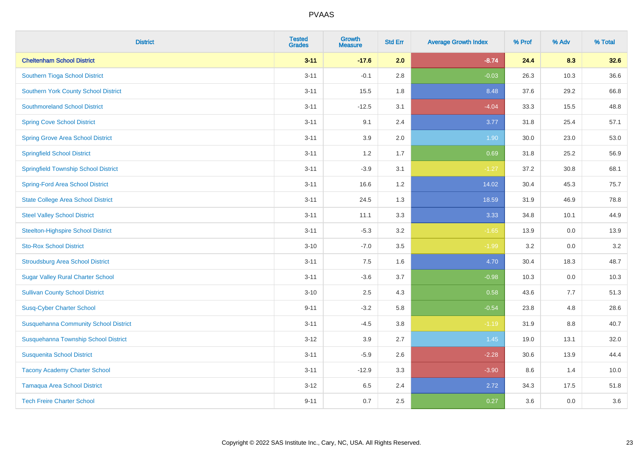| <b>District</b>                              | <b>Tested</b><br><b>Grades</b> | <b>Growth</b><br><b>Measure</b> | <b>Std Err</b> | <b>Average Growth Index</b> | % Prof | % Adv | % Total |
|----------------------------------------------|--------------------------------|---------------------------------|----------------|-----------------------------|--------|-------|---------|
| <b>Cheltenham School District</b>            | $3 - 11$                       | $-17.6$                         | 2.0            | $-8.74$                     | 24.4   | 8.3   | 32.6    |
| Southern Tioga School District               | $3 - 11$                       | $-0.1$                          | 2.8            | $-0.03$                     | 26.3   | 10.3  | 36.6    |
| <b>Southern York County School District</b>  | $3 - 11$                       | 15.5                            | 1.8            | 8.48                        | 37.6   | 29.2  | 66.8    |
| <b>Southmoreland School District</b>         | $3 - 11$                       | $-12.5$                         | 3.1            | $-4.04$                     | 33.3   | 15.5  | 48.8    |
| <b>Spring Cove School District</b>           | $3 - 11$                       | 9.1                             | 2.4            | 3.77                        | 31.8   | 25.4  | 57.1    |
| <b>Spring Grove Area School District</b>     | $3 - 11$                       | 3.9                             | 2.0            | 1.90                        | 30.0   | 23.0  | 53.0    |
| <b>Springfield School District</b>           | $3 - 11$                       | 1.2                             | 1.7            | 0.69                        | 31.8   | 25.2  | 56.9    |
| <b>Springfield Township School District</b>  | $3 - 11$                       | $-3.9$                          | 3.1            | $-1.27$                     | 37.2   | 30.8  | 68.1    |
| <b>Spring-Ford Area School District</b>      | $3 - 11$                       | 16.6                            | 1.2            | 14.02                       | 30.4   | 45.3  | 75.7    |
| <b>State College Area School District</b>    | $3 - 11$                       | 24.5                            | 1.3            | 18.59                       | 31.9   | 46.9  | 78.8    |
| <b>Steel Valley School District</b>          | $3 - 11$                       | 11.1                            | 3.3            | 3.33                        | 34.8   | 10.1  | 44.9    |
| <b>Steelton-Highspire School District</b>    | $3 - 11$                       | $-5.3$                          | 3.2            | $-1.65$                     | 13.9   | 0.0   | 13.9    |
| <b>Sto-Rox School District</b>               | $3 - 10$                       | $-7.0$                          | 3.5            | $-1.99$                     | 3.2    | 0.0   | 3.2     |
| <b>Stroudsburg Area School District</b>      | $3 - 11$                       | 7.5                             | 1.6            | 4.70                        | 30.4   | 18.3  | 48.7    |
| <b>Sugar Valley Rural Charter School</b>     | $3 - 11$                       | $-3.6$                          | 3.7            | $-0.98$                     | 10.3   | 0.0   | 10.3    |
| <b>Sullivan County School District</b>       | $3 - 10$                       | 2.5                             | 4.3            | 0.58                        | 43.6   | 7.7   | 51.3    |
| <b>Susq-Cyber Charter School</b>             | $9 - 11$                       | $-3.2$                          | 5.8            | $-0.54$                     | 23.8   | 4.8   | 28.6    |
| <b>Susquehanna Community School District</b> | $3 - 11$                       | $-4.5$                          | 3.8            | $-1.19$                     | 31.9   | 8.8   | 40.7    |
| Susquehanna Township School District         | $3 - 12$                       | 3.9                             | 2.7            | 1.45                        | 19.0   | 13.1  | 32.0    |
| <b>Susquenita School District</b>            | $3 - 11$                       | $-5.9$                          | 2.6            | $-2.28$                     | 30.6   | 13.9  | 44.4    |
| <b>Tacony Academy Charter School</b>         | $3 - 11$                       | $-12.9$                         | 3.3            | $-3.90$                     | 8.6    | 1.4   | 10.0    |
| <b>Tamaqua Area School District</b>          | $3 - 12$                       | 6.5                             | 2.4            | 2.72                        | 34.3   | 17.5  | 51.8    |
| <b>Tech Freire Charter School</b>            | $9 - 11$                       | 0.7                             | 2.5            | 0.27                        | 3.6    | 0.0   | 3.6     |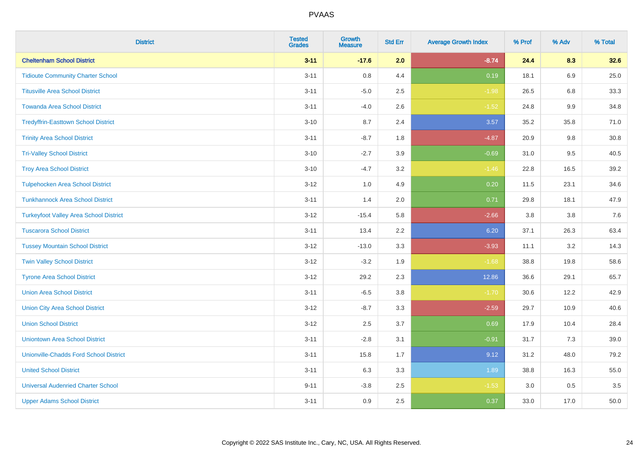| <b>District</b>                               | <b>Tested</b><br><b>Grades</b> | Growth<br><b>Measure</b> | <b>Std Err</b> | <b>Average Growth Index</b> | % Prof | % Adv   | % Total |
|-----------------------------------------------|--------------------------------|--------------------------|----------------|-----------------------------|--------|---------|---------|
| <b>Cheltenham School District</b>             | $3 - 11$                       | $-17.6$                  | 2.0            | $-8.74$                     | 24.4   | 8.3     | 32.6    |
| <b>Tidioute Community Charter School</b>      | $3 - 11$                       | 0.8                      | 4.4            | 0.19                        | 18.1   | 6.9     | 25.0    |
| <b>Titusville Area School District</b>        | $3 - 11$                       | $-5.0$                   | 2.5            | $-1.98$                     | 26.5   | 6.8     | 33.3    |
| <b>Towanda Area School District</b>           | $3 - 11$                       | $-4.0$                   | 2.6            | $-1.52$                     | 24.8   | $9.9\,$ | 34.8    |
| <b>Tredyffrin-Easttown School District</b>    | $3 - 10$                       | 8.7                      | 2.4            | 3.57                        | 35.2   | 35.8    | 71.0    |
| <b>Trinity Area School District</b>           | $3 - 11$                       | $-8.7$                   | 1.8            | $-4.87$                     | 20.9   | 9.8     | 30.8    |
| <b>Tri-Valley School District</b>             | $3 - 10$                       | $-2.7$                   | 3.9            | $-0.69$                     | 31.0   | 9.5     | 40.5    |
| <b>Troy Area School District</b>              | $3 - 10$                       | $-4.7$                   | 3.2            | $-1.46$                     | 22.8   | 16.5    | 39.2    |
| <b>Tulpehocken Area School District</b>       | $3 - 12$                       | 1.0                      | 4.9            | 0.20                        | 11.5   | 23.1    | 34.6    |
| <b>Tunkhannock Area School District</b>       | $3 - 11$                       | 1.4                      | 2.0            | 0.71                        | 29.8   | 18.1    | 47.9    |
| <b>Turkeyfoot Valley Area School District</b> | $3 - 12$                       | $-15.4$                  | 5.8            | $-2.66$                     | 3.8    | 3.8     | 7.6     |
| <b>Tuscarora School District</b>              | $3 - 11$                       | 13.4                     | 2.2            | 6.20                        | 37.1   | 26.3    | 63.4    |
| <b>Tussey Mountain School District</b>        | $3 - 12$                       | $-13.0$                  | 3.3            | $-3.93$                     | 11.1   | $3.2\,$ | 14.3    |
| <b>Twin Valley School District</b>            | $3 - 12$                       | $-3.2$                   | 1.9            | $-1.68$                     | 38.8   | 19.8    | 58.6    |
| <b>Tyrone Area School District</b>            | $3 - 12$                       | 29.2                     | 2.3            | 12.86                       | 36.6   | 29.1    | 65.7    |
| <b>Union Area School District</b>             | $3 - 11$                       | $-6.5$                   | 3.8            | $-1.70$                     | 30.6   | 12.2    | 42.9    |
| <b>Union City Area School District</b>        | $3 - 12$                       | $-8.7$                   | 3.3            | $-2.59$                     | 29.7   | 10.9    | 40.6    |
| <b>Union School District</b>                  | $3 - 12$                       | 2.5                      | 3.7            | 0.69                        | 17.9   | 10.4    | 28.4    |
| <b>Uniontown Area School District</b>         | $3 - 11$                       | $-2.8$                   | 3.1            | $-0.91$                     | 31.7   | 7.3     | 39.0    |
| <b>Unionville-Chadds Ford School District</b> | $3 - 11$                       | 15.8                     | 1.7            | 9.12                        | 31.2   | 48.0    | 79.2    |
| <b>United School District</b>                 | $3 - 11$                       | 6.3                      | 3.3            | 1.89                        | 38.8   | 16.3    | 55.0    |
| <b>Universal Audenried Charter School</b>     | $9 - 11$                       | $-3.8$                   | 2.5            | $-1.53$                     | 3.0    | 0.5     | 3.5     |
| <b>Upper Adams School District</b>            | $3 - 11$                       | 0.9                      | 2.5            | 0.37                        | 33.0   | 17.0    | 50.0    |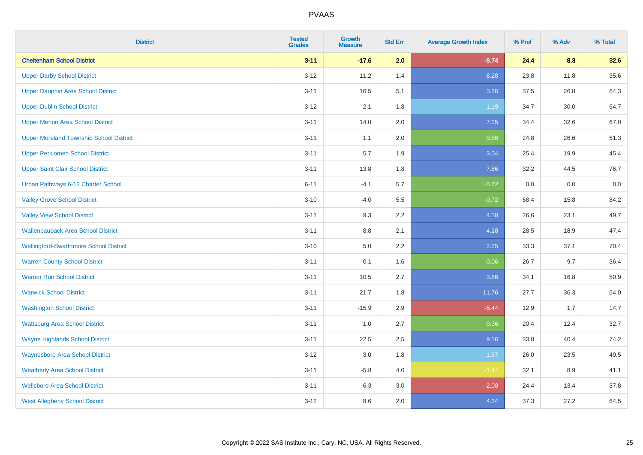| <b>District</b>                                | <b>Tested</b><br><b>Grades</b> | Growth<br><b>Measure</b> | <b>Std Err</b> | <b>Average Growth Index</b> | % Prof | % Adv | % Total |
|------------------------------------------------|--------------------------------|--------------------------|----------------|-----------------------------|--------|-------|---------|
| <b>Cheltenham School District</b>              | $3 - 11$                       | $-17.6$                  | 2.0            | $-8.74$                     | 24.4   | 8.3   | 32.6    |
| <b>Upper Darby School District</b>             | $3 - 12$                       | 11.2                     | 1.4            | 8.28                        | 23.8   | 11.8  | 35.6    |
| Upper Dauphin Area School District             | $3 - 11$                       | 16.5                     | 5.1            | 3.26                        | 37.5   | 26.8  | 64.3    |
| <b>Upper Dublin School District</b>            | $3 - 12$                       | 2.1                      | 1.8            | 1.19                        | 34.7   | 30.0  | 64.7    |
| <b>Upper Merion Area School District</b>       | $3 - 11$                       | 14.0                     | 2.0            | 7.15                        | 34.4   | 32.6  | 67.0    |
| <b>Upper Moreland Township School District</b> | $3 - 11$                       | 1.1                      | 2.0            | 0.56                        | 24.8   | 26.6  | 51.3    |
| <b>Upper Perkiomen School District</b>         | $3 - 11$                       | 5.7                      | 1.9            | 3.04                        | 25.4   | 19.9  | 45.4    |
| <b>Upper Saint Clair School District</b>       | $3 - 11$                       | 13.8                     | 1.8            | 7.86                        | 32.2   | 44.5  | 76.7    |
| Urban Pathways 6-12 Charter School             | $6 - 11$                       | $-4.1$                   | 5.7            | $-0.72$                     | 0.0    | 0.0   | $0.0\,$ |
| <b>Valley Grove School District</b>            | $3 - 10$                       | $-4.0$                   | 5.5            | $-0.72$                     | 68.4   | 15.8  | 84.2    |
| <b>Valley View School District</b>             | $3 - 11$                       | 9.3                      | 2.2            | 4.18                        | 26.6   | 23.1  | 49.7    |
| <b>Wallenpaupack Area School District</b>      | $3 - 11$                       | 8.8                      | 2.1            | 4.28                        | 28.5   | 18.9  | 47.4    |
| <b>Wallingford-Swarthmore School District</b>  | $3 - 10$                       | 5.0                      | $2.2\,$        | 2.25                        | 33.3   | 37.1  | 70.4    |
| <b>Warren County School District</b>           | $3 - 11$                       | $-0.1$                   | 1.6            | $-0.06$                     | 26.7   | 9.7   | 36.4    |
| <b>Warrior Run School District</b>             | $3 - 11$                       | 10.5                     | 2.7            | 3.86                        | 34.1   | 16.8  | 50.9    |
| <b>Warwick School District</b>                 | $3 - 11$                       | 21.7                     | 1.8            | 11.76                       | 27.7   | 36.3  | 64.0    |
| <b>Washington School District</b>              | $3 - 11$                       | $-15.9$                  | 2.9            | $-5.44$                     | 12.9   | 1.7   | 14.7    |
| <b>Wattsburg Area School District</b>          | $3 - 11$                       | 1.0                      | 2.7            | 0.36                        | 20.4   | 12.4  | 32.7    |
| <b>Wayne Highlands School District</b>         | $3 - 11$                       | 22.5                     | 2.5            | 9.16                        | 33.8   | 40.4  | 74.2    |
| <b>Waynesboro Area School District</b>         | $3 - 12$                       | $3.0\,$                  | 1.8            | 1.67                        | 26.0   | 23.5  | 49.5    |
| <b>Weatherly Area School District</b>          | $3 - 11$                       | $-5.8$                   | 4.0            | $-1.44$                     | 32.1   | 8.9   | 41.1    |
| <b>Wellsboro Area School District</b>          | $3 - 11$                       | $-6.3$                   | 3.0            | $-2.08$                     | 24.4   | 13.4  | 37.8    |
| <b>West Allegheny School District</b>          | $3 - 12$                       | 8.6                      | 2.0            | 4.34                        | 37.3   | 27.2  | 64.5    |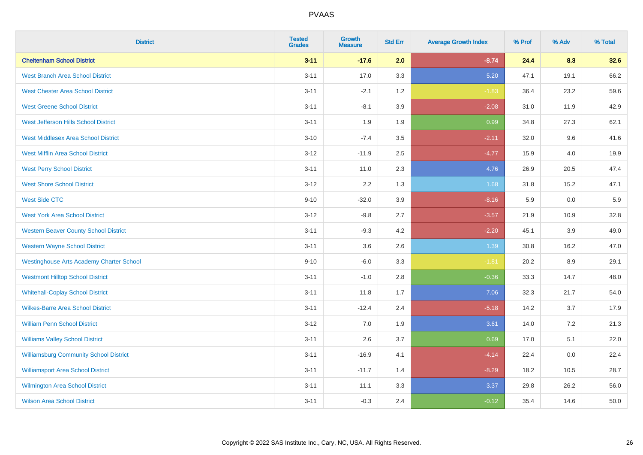| <b>District</b>                                 | <b>Tested</b><br><b>Grades</b> | <b>Growth</b><br><b>Measure</b> | <b>Std Err</b> | <b>Average Growth Index</b> | % Prof | % Adv | % Total |
|-------------------------------------------------|--------------------------------|---------------------------------|----------------|-----------------------------|--------|-------|---------|
| <b>Cheltenham School District</b>               | $3 - 11$                       | $-17.6$                         | 2.0            | $-8.74$                     | 24.4   | 8.3   | 32.6    |
| <b>West Branch Area School District</b>         | $3 - 11$                       | 17.0                            | 3.3            | 5.20                        | 47.1   | 19.1  | 66.2    |
| <b>West Chester Area School District</b>        | $3 - 11$                       | $-2.1$                          | 1.2            | $-1.83$                     | 36.4   | 23.2  | 59.6    |
| <b>West Greene School District</b>              | $3 - 11$                       | $-8.1$                          | 3.9            | $-2.08$                     | 31.0   | 11.9  | 42.9    |
| West Jefferson Hills School District            | $3 - 11$                       | 1.9                             | 1.9            | 0.99                        | 34.8   | 27.3  | 62.1    |
| <b>West Middlesex Area School District</b>      | $3 - 10$                       | $-7.4$                          | 3.5            | $-2.11$                     | 32.0   | 9.6   | 41.6    |
| <b>West Mifflin Area School District</b>        | $3 - 12$                       | $-11.9$                         | 2.5            | $-4.77$                     | 15.9   | 4.0   | 19.9    |
| <b>West Perry School District</b>               | $3 - 11$                       | 11.0                            | 2.3            | 4.76                        | 26.9   | 20.5  | 47.4    |
| <b>West Shore School District</b>               | $3 - 12$                       | 2.2                             | 1.3            | 1.68                        | 31.8   | 15.2  | 47.1    |
| <b>West Side CTC</b>                            | $9 - 10$                       | $-32.0$                         | 3.9            | $-8.16$                     | 5.9    | 0.0   | 5.9     |
| <b>West York Area School District</b>           | $3 - 12$                       | $-9.8$                          | 2.7            | $-3.57$                     | 21.9   | 10.9  | 32.8    |
| <b>Western Beaver County School District</b>    | $3 - 11$                       | $-9.3$                          | 4.2            | $-2.20$                     | 45.1   | 3.9   | 49.0    |
| <b>Western Wayne School District</b>            | $3 - 11$                       | 3.6                             | 2.6            | 1.39                        | 30.8   | 16.2  | 47.0    |
| <b>Westinghouse Arts Academy Charter School</b> | $9 - 10$                       | $-6.0$                          | 3.3            | $-1.81$                     | 20.2   | 8.9   | 29.1    |
| <b>Westmont Hilltop School District</b>         | $3 - 11$                       | $-1.0$                          | 2.8            | $-0.36$                     | 33.3   | 14.7  | 48.0    |
| <b>Whitehall-Coplay School District</b>         | $3 - 11$                       | 11.8                            | 1.7            | 7.06                        | 32.3   | 21.7  | 54.0    |
| <b>Wilkes-Barre Area School District</b>        | $3 - 11$                       | $-12.4$                         | 2.4            | $-5.18$                     | 14.2   | 3.7   | 17.9    |
| <b>William Penn School District</b>             | $3 - 12$                       | 7.0                             | 1.9            | 3.61                        | 14.0   | 7.2   | 21.3    |
| <b>Williams Valley School District</b>          | $3 - 11$                       | 2.6                             | 3.7            | 0.69                        | 17.0   | 5.1   | 22.0    |
| <b>Williamsburg Community School District</b>   | $3 - 11$                       | $-16.9$                         | 4.1            | $-4.14$                     | 22.4   | 0.0   | 22.4    |
| <b>Williamsport Area School District</b>        | $3 - 11$                       | $-11.7$                         | 1.4            | $-8.29$                     | 18.2   | 10.5  | 28.7    |
| Wilmington Area School District                 | $3 - 11$                       | 11.1                            | 3.3            | 3.37                        | 29.8   | 26.2  | 56.0    |
| <b>Wilson Area School District</b>              | $3 - 11$                       | $-0.3$                          | 2.4            | $-0.12$                     | 35.4   | 14.6  | 50.0    |